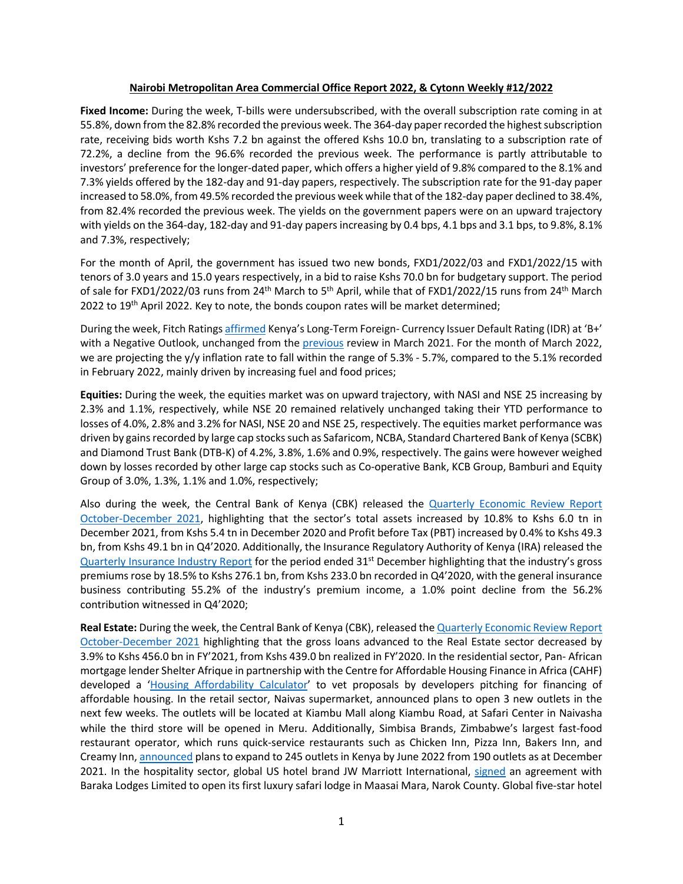### **Nairobi Metropolitan Area Commercial Office Report 2022, & Cytonn Weekly #12/2022**

**Fixed Income:** During the week, T-bills were undersubscribed, with the overall subscription rate coming in at 55.8%, down from the 82.8% recorded the previous week. The 364-day paper recorded the highest subscription rate, receiving bids worth Kshs 7.2 bn against the offered Kshs 10.0 bn, translating to a subscription rate of 72.2%, a decline from the 96.6% recorded the previous week. The performance is partly attributable to investors' preference for the longer-dated paper, which offers a higher yield of 9.8% compared to the 8.1% and 7.3% yields offered by the 182-day and 91-day papers, respectively. The subscription rate for the 91-day paper increased to 58.0%, from 49.5% recorded the previous week while that of the 182-day paper declined to 38.4%, from 82.4% recorded the previous week. The yields on the government papers were on an upward trajectory with yields on the 364-day, 182-day and 91-day papers increasing by 0.4 bps, 4.1 bps and 3.1 bps, to 9.8%, 8.1% and 7.3%, respectively;

For the month of April, the government has issued two new bonds, FXD1/2022/03 and FXD1/2022/15 with tenors of 3.0 years and 15.0 years respectively, in a bid to raise Kshs 70.0 bn for budgetary support. The period of sale for FXD1/2022/03 runs from 24<sup>th</sup> March to 5<sup>th</sup> April, while that of FXD1/2022/15 runs from 24<sup>th</sup> March 2022 to  $19<sup>th</sup>$  April 2022. Key to note, the bonds coupon rates will be market determined;

During the week, Fitch Ratings affirmed Kenya's Long-Term Foreign- Currency Issuer Default Rating (IDR) at 'B+' with a Negative Outlook, unchanged from the previous review in March 2021. For the month of March 2022, we are projecting the y/y inflation rate to fall within the range of 5.3% - 5.7%, compared to the 5.1% recorded in February 2022, mainly driven by increasing fuel and food prices;

**Equities:** During the week, the equities market was on upward trajectory, with NASI and NSE 25 increasing by 2.3% and 1.1%, respectively, while NSE 20 remained relatively unchanged taking their YTD performance to losses of 4.0%, 2.8% and 3.2% for NASI, NSE 20 and NSE 25, respectively. The equities market performance was driven by gains recorded by large cap stocks such as Safaricom, NCBA, Standard Chartered Bank of Kenya (SCBK) and Diamond Trust Bank (DTB-K) of 4.2%, 3.8%, 1.6% and 0.9%, respectively. The gains were however weighed down by losses recorded by other large cap stocks such as Co-operative Bank, KCB Group, Bamburi and Equity Group of 3.0%, 1.3%, 1.1% and 1.0%, respectively;

Also during the week, the Central Bank of Kenya (CBK) released the Quarterly Economic Review Report October-December 2021, highlighting that the sector's total assets increased by 10.8% to Kshs 6.0 tn in December 2021, from Kshs 5.4 tn in December 2020 and Profit before Tax (PBT) increased by 0.4% to Kshs 49.3 bn, from Kshs 49.1 bn in Q4'2020. Additionally, the Insurance Regulatory Authority of Kenya (IRA) released the Quarterly Insurance Industry Report for the period ended 31<sup>st</sup> December highlighting that the industry's gross premiums rose by 18.5% to Kshs 276.1 bn, from Kshs 233.0 bn recorded in Q4'2020, with the general insurance business contributing 55.2% of the industry's premium income, a 1.0% point decline from the 56.2% contribution witnessed in Q4'2020;

**Real Estate:** During the week, the Central Bank of Kenya (CBK), released the Quarterly Economic Review Report October-December 2021 highlighting that the gross loans advanced to the Real Estate sector decreased by 3.9% to Kshs 456.0 bn in FY'2021, from Kshs 439.0 bn realized in FY'2020. In the residential sector, Pan- African mortgage lender Shelter Afrique in partnership with the Centre for Affordable Housing Finance in Africa (CAHF) developed a 'Housing Affordability Calculator' to vet proposals by developers pitching for financing of affordable housing. In the retail sector, Naivas supermarket, announced plans to open 3 new outlets in the next few weeks. The outlets will be located at Kiambu Mall along Kiambu Road, at Safari Center in Naivasha while the third store will be opened in Meru. Additionally, Simbisa Brands, Zimbabwe's largest fast-food restaurant operator, which runs quick-service restaurants such as Chicken Inn, Pizza Inn, Bakers Inn, and Creamy Inn, announced plans to expand to 245 outlets in Kenya by June 2022 from 190 outlets as at December 2021. In the hospitality sector, global US hotel brand JW Marriott International, signed an agreement with Baraka Lodges Limited to open its first luxury safari lodge in Maasai Mara, Narok County. Global five-star hotel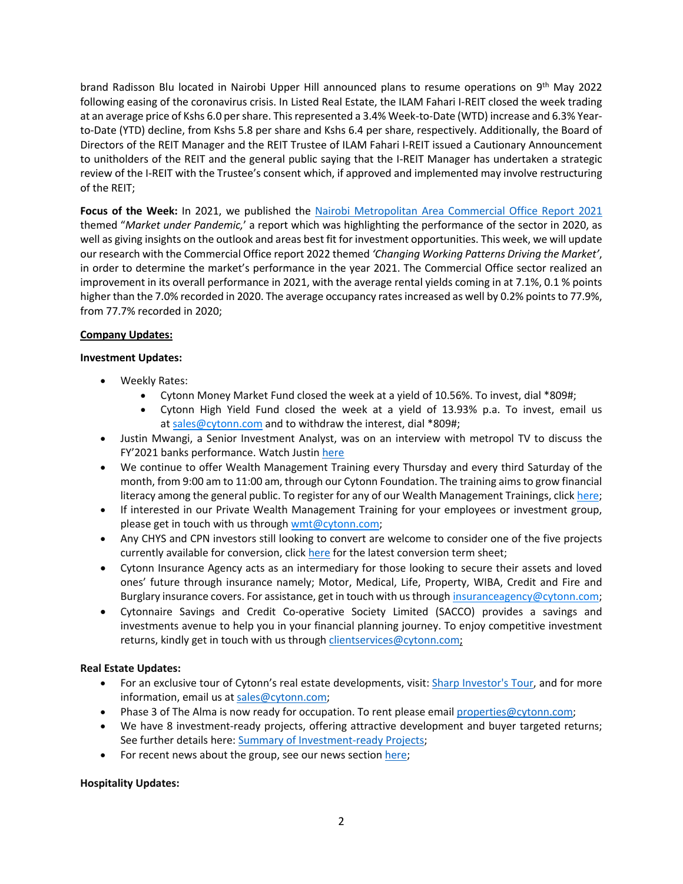brand Radisson Blu located in Nairobi Upper Hill announced plans to resume operations on 9th May 2022 following easing of the coronavirus crisis. In Listed Real Estate, the ILAM Fahari I-REIT closed the week trading at an average price of Kshs 6.0 per share. This represented a 3.4% Week-to-Date (WTD) increase and 6.3% Yearto-Date (YTD) decline, from Kshs 5.8 per share and Kshs 6.4 per share, respectively. Additionally, the Board of Directors of the REIT Manager and the REIT Trustee of ILAM Fahari I-REIT issued a Cautionary Announcement to unitholders of the REIT and the general public saying that the I-REIT Manager has undertaken a strategic review of the I-REIT with the Trustee's consent which, if approved and implemented may involve restructuring of the REIT;

**Focus of the Week:** In 2021, we published the Nairobi Metropolitan Area Commercial Office Report 2021 themed "*Market under Pandemic,*' a report which was highlighting the performance of the sector in 2020, as well as giving insights on the outlook and areas best fit for investment opportunities. This week, we will update our research with the Commercial Office report 2022 themed *'Changing Working Patterns Driving the Market'*, in order to determine the market's performance in the year 2021. The Commercial Office sector realized an improvement in its overall performance in 2021, with the average rental yields coming in at 7.1%, 0.1 % points higher than the 7.0% recorded in 2020. The average occupancy rates increased as well by 0.2% points to 77.9%, from 77.7% recorded in 2020;

## **Company Updates:**

## **Investment Updates:**

- Weekly Rates:
	- Cytonn Money Market Fund closed the week at a yield of 10.56%. To invest, dial \*809#;
	- Cytonn High Yield Fund closed the week at a yield of 13.93% p.a. To invest, email us at sales@cytonn.com and to withdraw the interest, dial \*809#;
- Justin Mwangi, a Senior Investment Analyst, was on an interview with metropol TV to discuss the FY'2021 banks performance. Watch Justin here
- We continue to offer Wealth Management Training every Thursday and every third Saturday of the month, from 9:00 am to 11:00 am, through our Cytonn Foundation. The training aims to grow financial literacy among the general public. To register for any of our Wealth Management Trainings, click here;
- If interested in our Private Wealth Management Training for your employees or investment group, please get in touch with us through wmt@cytonn.com;
- Any CHYS and CPN investors still looking to convert are welcome to consider one of the five projects currently available for conversion, click here for the latest conversion term sheet;
- Cytonn Insurance Agency acts as an intermediary for those looking to secure their assets and loved ones' future through insurance namely; Motor, Medical, Life, Property, WIBA, Credit and Fire and Burglary insurance covers. For assistance, get in touch with us through insuranceagency@cytonn.com;
- Cytonnaire Savings and Credit Co-operative Society Limited (SACCO) provides a savings and investments avenue to help you in your financial planning journey. To enjoy competitive investment returns, kindly get in touch with us through clientservices@cytonn.com;

## **Real Estate Updates:**

- For an exclusive tour of Cytonn's real estate developments, visit: Sharp Investor's Tour, and for more information, email us at sales@cytonn.com;
- Phase 3 of The Alma is now ready for occupation. To rent please email properties@cytonn.com;
- We have 8 investment-ready projects, offering attractive development and buyer targeted returns; See further details here: Summary of Investment-ready Projects;
- For recent news about the group, see our news section here;

## **Hospitality Updates:**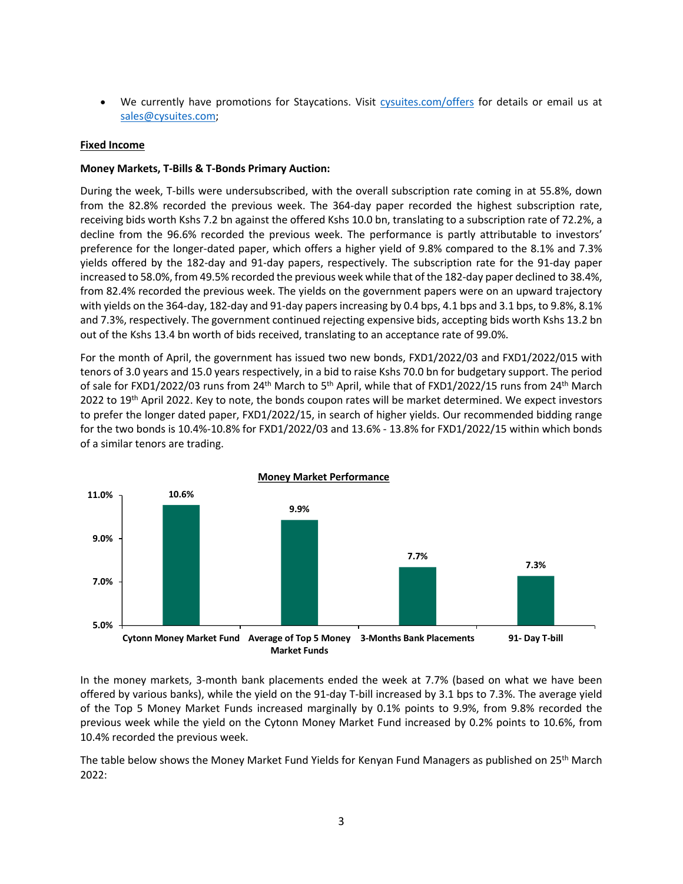• We currently have promotions for Staycations. Visit cysuites.com/offers for details or email us at sales@cysuites.com;

## **Fixed Income**

## **Money Markets, T-Bills & T-Bonds Primary Auction:**

During the week, T-bills were undersubscribed, with the overall subscription rate coming in at 55.8%, down from the 82.8% recorded the previous week. The 364-day paper recorded the highest subscription rate, receiving bids worth Kshs 7.2 bn against the offered Kshs 10.0 bn, translating to a subscription rate of 72.2%, a decline from the 96.6% recorded the previous week. The performance is partly attributable to investors' preference for the longer-dated paper, which offers a higher yield of 9.8% compared to the 8.1% and 7.3% yields offered by the 182-day and 91-day papers, respectively. The subscription rate for the 91-day paper increased to 58.0%, from 49.5% recorded the previous week while that of the 182-day paper declined to 38.4%, from 82.4% recorded the previous week. The yields on the government papers were on an upward trajectory with yields on the 364-day, 182-day and 91-day papers increasing by 0.4 bps, 4.1 bps and 3.1 bps, to 9.8%, 8.1% and 7.3%, respectively. The government continued rejecting expensive bids, accepting bids worth Kshs 13.2 bn out of the Kshs 13.4 bn worth of bids received, translating to an acceptance rate of 99.0%.

For the month of April, the government has issued two new bonds, FXD1/2022/03 and FXD1/2022/015 with tenors of 3.0 years and 15.0 years respectively, in a bid to raise Kshs 70.0 bn for budgetary support. The period of sale for FXD1/2022/03 runs from 24<sup>th</sup> March to 5<sup>th</sup> April, while that of FXD1/2022/15 runs from 24<sup>th</sup> March 2022 to 19<sup>th</sup> April 2022. Key to note, the bonds coupon rates will be market determined. We expect investors to prefer the longer dated paper, FXD1/2022/15, in search of higher yields. Our recommended bidding range for the two bonds is 10.4%-10.8% for FXD1/2022/03 and 13.6% - 13.8% for FXD1/2022/15 within which bonds of a similar tenors are trading.



In the money markets, 3-month bank placements ended the week at 7.7% (based on what we have been offered by various banks), while the yield on the 91-day T-bill increased by 3.1 bps to 7.3%. The average yield of the Top 5 Money Market Funds increased marginally by 0.1% points to 9.9%, from 9.8% recorded the previous week while the yield on the Cytonn Money Market Fund increased by 0.2% points to 10.6%, from 10.4% recorded the previous week.

The table below shows the Money Market Fund Yields for Kenyan Fund Managers as published on 25<sup>th</sup> March 2022: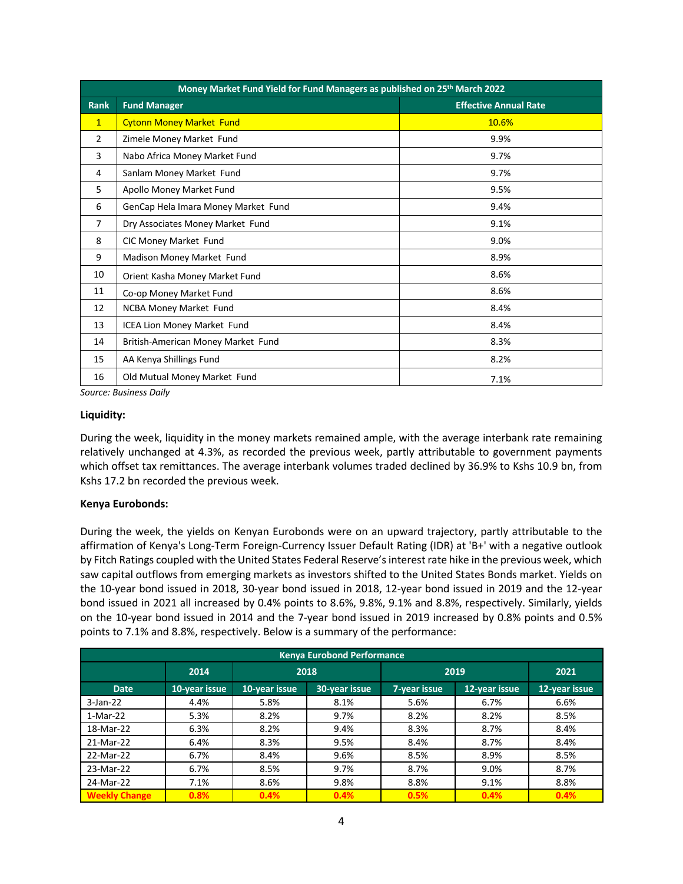|                | Money Market Fund Yield for Fund Managers as published on 25th March 2022 |                              |  |  |  |  |  |  |  |
|----------------|---------------------------------------------------------------------------|------------------------------|--|--|--|--|--|--|--|
| <b>Rank</b>    | <b>Fund Manager</b>                                                       | <b>Effective Annual Rate</b> |  |  |  |  |  |  |  |
| $\mathbf{1}$   | <b>Cytonn Money Market Fund</b>                                           | 10.6%                        |  |  |  |  |  |  |  |
| 2              | Zimele Money Market Fund                                                  | 9.9%                         |  |  |  |  |  |  |  |
| 3              | Nabo Africa Money Market Fund                                             | 9.7%                         |  |  |  |  |  |  |  |
| 4              | Sanlam Money Market Fund                                                  | 9.7%                         |  |  |  |  |  |  |  |
| 5              | Apollo Money Market Fund                                                  | 9.5%                         |  |  |  |  |  |  |  |
| 6              | GenCap Hela Imara Money Market Fund                                       | 9.4%                         |  |  |  |  |  |  |  |
| $\overline{7}$ | Dry Associates Money Market Fund                                          | 9.1%                         |  |  |  |  |  |  |  |
| 8              | CIC Money Market Fund                                                     | 9.0%                         |  |  |  |  |  |  |  |
| 9              | Madison Money Market Fund                                                 | 8.9%                         |  |  |  |  |  |  |  |
| 10             | Orient Kasha Money Market Fund                                            | 8.6%                         |  |  |  |  |  |  |  |
| 11             | Co-op Money Market Fund                                                   | 8.6%                         |  |  |  |  |  |  |  |
| 12             | NCBA Money Market Fund                                                    | 8.4%                         |  |  |  |  |  |  |  |
| 13             | ICEA Lion Money Market Fund                                               | 8.4%                         |  |  |  |  |  |  |  |
| 14             | British-American Money Market Fund                                        | 8.3%                         |  |  |  |  |  |  |  |
| 15             | AA Kenya Shillings Fund                                                   | 8.2%                         |  |  |  |  |  |  |  |
| 16             | Old Mutual Money Market Fund                                              | 7.1%                         |  |  |  |  |  |  |  |

*Source: Business Daily*

### **Liquidity:**

During the week, liquidity in the money markets remained ample, with the average interbank rate remaining relatively unchanged at 4.3%, as recorded the previous week, partly attributable to government payments which offset tax remittances. The average interbank volumes traded declined by 36.9% to Kshs 10.9 bn, from Kshs 17.2 bn recorded the previous week.

### **Kenya Eurobonds:**

During the week, the yields on Kenyan Eurobonds were on an upward trajectory, partly attributable to the affirmation of Kenya's Long-Term Foreign-Currency Issuer Default Rating (IDR) at 'B+' with a negative outlook by Fitch Ratings coupled with the United States Federal Reserve's interest rate hike in the previous week, which saw capital outflows from emerging markets as investors shifted to the United States Bonds market. Yields on the 10-year bond issued in 2018, 30-year bond issued in 2018, 12-year bond issued in 2019 and the 12-year bond issued in 2021 all increased by 0.4% points to 8.6%, 9.8%, 9.1% and 8.8%, respectively. Similarly, yields on the 10-year bond issued in 2014 and the 7-year bond issued in 2019 increased by 0.8% points and 0.5% points to 7.1% and 8.8%, respectively. Below is a summary of the performance:

|                      | <b>Kenya Eurobond Performance</b> |               |               |              |               |               |  |  |  |  |  |
|----------------------|-----------------------------------|---------------|---------------|--------------|---------------|---------------|--|--|--|--|--|
|                      | 2014                              | 2018          |               | 2019         | 2021          |               |  |  |  |  |  |
| <b>Date</b>          | 10-year issue                     | 10-year issue | 30-year issue | 7-year issue | 12-year issue | 12-year issue |  |  |  |  |  |
| $3$ -Jan-22          | 4.4%                              | 5.8%          | 8.1%          | 5.6%         | 6.7%          | 6.6%          |  |  |  |  |  |
| $1-Mar-22$           | 5.3%                              | 8.2%          | 9.7%          | 8.2%         | 8.2%          | 8.5%          |  |  |  |  |  |
| 18-Mar-22            | 6.3%                              | 8.2%          | 9.4%          | 8.3%         | 8.7%          | 8.4%          |  |  |  |  |  |
| 21-Mar-22            | 6.4%                              | 8.3%          | 9.5%          | 8.4%         | 8.7%          | 8.4%          |  |  |  |  |  |
| 22-Mar-22            | 6.7%                              | 8.4%          | 9.6%          | 8.5%         | 8.9%          | 8.5%          |  |  |  |  |  |
| 23-Mar-22            | 6.7%                              | 8.5%          | 9.7%          | 8.7%         | 9.0%          | 8.7%          |  |  |  |  |  |
| 24-Mar-22            | 7.1%                              | 8.6%          | 9.8%          | 8.8%         | 9.1%          | 8.8%          |  |  |  |  |  |
| <b>Weekly Change</b> | 0.8%                              | 0.4%          | 0.4%          | 0.5%         | 0.4%          | 0.4%          |  |  |  |  |  |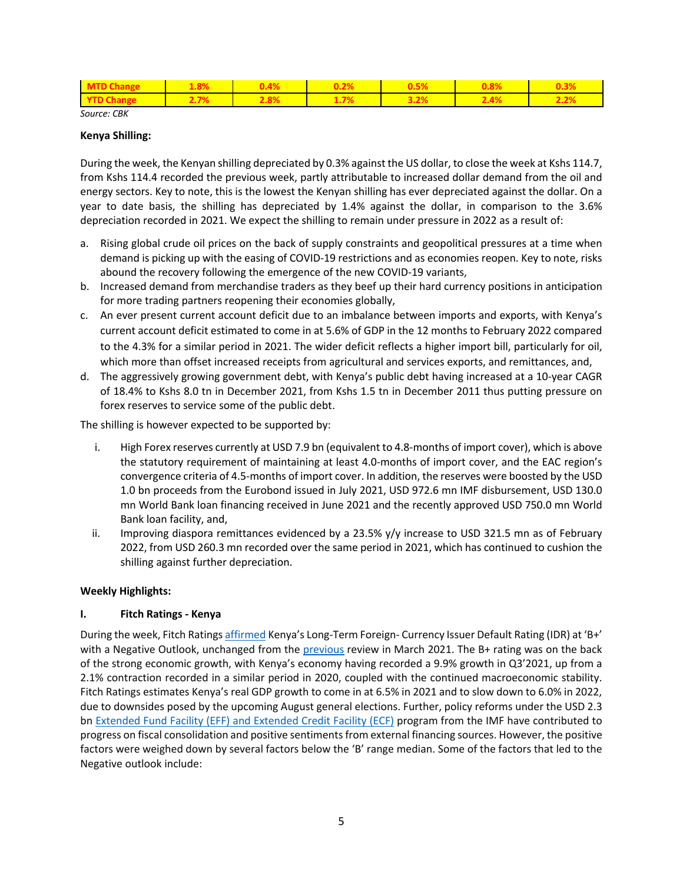| <b>MTD Change</b> | 1.8%    | $0.4\%$ | $0.2\%$ | 0.5%              | $0.8\%$ | 0.3% |
|-------------------|---------|---------|---------|-------------------|---------|------|
| <b>YTD Change</b> | $2.7\%$ | $2.8\%$ | $1.7\%$ | $\frac{3.2\%}{2}$ | $2.4\%$ | 2.2% |

*Source: CBK*

#### **Kenya Shilling:**

During the week, the Kenyan shilling depreciated by 0.3% against the US dollar, to close the week at Kshs 114.7, from Kshs 114.4 recorded the previous week, partly attributable to increased dollar demand from the oil and energy sectors. Key to note, this is the lowest the Kenyan shilling has ever depreciated against the dollar. On a year to date basis, the shilling has depreciated by 1.4% against the dollar, in comparison to the 3.6% depreciation recorded in 2021. We expect the shilling to remain under pressure in 2022 as a result of:

- a. Rising global crude oil prices on the back of supply constraints and geopolitical pressures at a time when demand is picking up with the easing of COVID-19 restrictions and as economies reopen. Key to note, risks abound the recovery following the emergence of the new COVID-19 variants,
- b. Increased demand from merchandise traders as they beef up their hard currency positions in anticipation for more trading partners reopening their economies globally,
- c. An ever present current account deficit due to an imbalance between imports and exports, with Kenya's current account deficit estimated to come in at 5.6% of GDP in the 12 months to February 2022 compared to the 4.3% for a similar period in 2021. The wider deficit reflects a higher import bill, particularly for oil, which more than offset increased receipts from agricultural and services exports, and remittances, and,
- d. The aggressively growing government debt, with Kenya's public debt having increased at a 10-year CAGR of 18.4% to Kshs 8.0 tn in December 2021, from Kshs 1.5 tn in December 2011 thus putting pressure on forex reserves to service some of the public debt.

The shilling is however expected to be supported by:

- i. High Forex reserves currently at USD 7.9 bn (equivalent to 4.8-months of import cover), which is above the statutory requirement of maintaining at least 4.0-months of import cover, and the EAC region's convergence criteria of 4.5-months of import cover. In addition, the reserves were boosted by the USD 1.0 bn proceeds from the Eurobond issued in July 2021, USD 972.6 mn IMF disbursement, USD 130.0 mn World Bank loan financing received in June 2021 and the recently approved USD 750.0 mn World Bank loan facility, and,
- ii. Improving diaspora remittances evidenced by a 23.5% y/y increase to USD 321.5 mn as of February 2022, from USD 260.3 mn recorded over the same period in 2021, which has continued to cushion the shilling against further depreciation.

### **Weekly Highlights:**

## **I. Fitch Ratings - Kenya**

During the week, Fitch Ratings affirmed Kenya's Long-Term Foreign- Currency Issuer Default Rating (IDR) at 'B+' with a Negative Outlook, unchanged from the previous review in March 2021. The B+ rating was on the back of the strong economic growth, with Kenya's economy having recorded a 9.9% growth in Q3'2021, up from a 2.1% contraction recorded in a similar period in 2020, coupled with the continued macroeconomic stability. Fitch Ratings estimates Kenya's real GDP growth to come in at 6.5% in 2021 and to slow down to 6.0% in 2022, due to downsides posed by the upcoming August general elections. Further, policy reforms under the USD 2.3 bn Extended Fund Facility (EFF) and Extended Credit Facility (ECF) program from the IMF have contributed to progress on fiscal consolidation and positive sentiments from external financing sources. However, the positive factors were weighed down by several factors below the 'B' range median. Some of the factors that led to the Negative outlook include: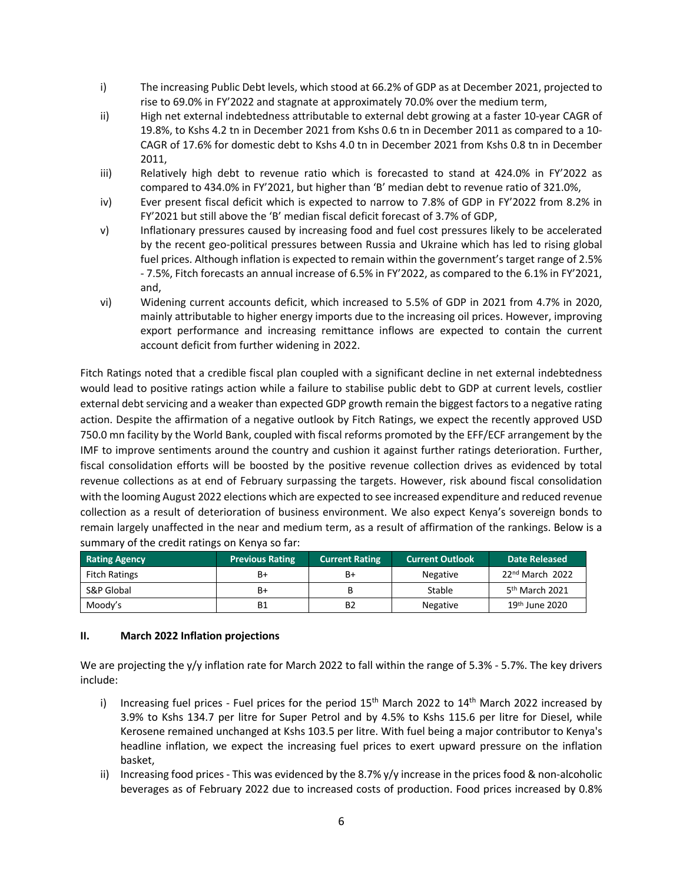- i) The increasing Public Debt levels, which stood at 66.2% of GDP as at December 2021, projected to rise to 69.0% in FY'2022 and stagnate at approximately 70.0% over the medium term,
- ii) High net external indebtedness attributable to external debt growing at a faster 10-year CAGR of 19.8%, to Kshs 4.2 tn in December 2021 from Kshs 0.6 tn in December 2011 as compared to a 10- CAGR of 17.6% for domestic debt to Kshs 4.0 tn in December 2021 from Kshs 0.8 tn in December 2011,
- iii) Relatively high debt to revenue ratio which is forecasted to stand at 424.0% in FY'2022 as compared to 434.0% in FY'2021, but higher than 'B' median debt to revenue ratio of 321.0%,
- iv) Ever present fiscal deficit which is expected to narrow to 7.8% of GDP in FY'2022 from 8.2% in FY'2021 but still above the 'B' median fiscal deficit forecast of 3.7% of GDP,
- v) Inflationary pressures caused by increasing food and fuel cost pressures likely to be accelerated by the recent geo-political pressures between Russia and Ukraine which has led to rising global fuel prices. Although inflation is expected to remain within the government's target range of 2.5% - 7.5%, Fitch forecasts an annual increase of 6.5% in FY'2022, as compared to the 6.1% in FY'2021, and,
- vi) Widening current accounts deficit, which increased to 5.5% of GDP in 2021 from 4.7% in 2020, mainly attributable to higher energy imports due to the increasing oil prices. However, improving export performance and increasing remittance inflows are expected to contain the current account deficit from further widening in 2022.

Fitch Ratings noted that a credible fiscal plan coupled with a significant decline in net external indebtedness would lead to positive ratings action while a failure to stabilise public debt to GDP at current levels, costlier external debt servicing and a weaker than expected GDP growth remain the biggest factors to a negative rating action. Despite the affirmation of a negative outlook by Fitch Ratings, we expect the recently approved USD 750.0 mn facility by the World Bank, coupled with fiscal reforms promoted by the EFF/ECF arrangement by the IMF to improve sentiments around the country and cushion it against further ratings deterioration. Further, fiscal consolidation efforts will be boosted by the positive revenue collection drives as evidenced by total revenue collections as at end of February surpassing the targets. However, risk abound fiscal consolidation with the looming August 2022 elections which are expected to see increased expenditure and reduced revenue collection as a result of deterioration of business environment. We also expect Kenya's sovereign bonds to remain largely unaffected in the near and medium term, as a result of affirmation of the rankings. Below is a summary of the credit ratings on Kenya so far:

| <b>Rating Agency</b> | <b>Previous Rating</b> | <b>Current Rating</b> | <b>Current Outlook</b> | Date Released              |
|----------------------|------------------------|-----------------------|------------------------|----------------------------|
| <b>Fitch Ratings</b> | B+                     | B+                    | <b>Negative</b>        | 22nd March 2022            |
| S&P Global           | B+                     |                       | Stable                 | 5 <sup>th</sup> March 2021 |
| Moody's              | Β1                     | B2                    | Negative               | 19 <sup>th</sup> June 2020 |

## **II. March 2022 Inflation projections**

We are projecting the y/y inflation rate for March 2022 to fall within the range of 5.3% - 5.7%. The key drivers include:

- i) Increasing fuel prices Fuel prices for the period  $15<sup>th</sup>$  March 2022 to  $14<sup>th</sup>$  March 2022 increased by 3.9% to Kshs 134.7 per litre for Super Petrol and by 4.5% to Kshs 115.6 per litre for Diesel, while Kerosene remained unchanged at Kshs 103.5 per litre. With fuel being a major contributor to Kenya's headline inflation, we expect the increasing fuel prices to exert upward pressure on the inflation basket,
- ii) Increasing food prices This was evidenced by the 8.7%  $y/y$  increase in the prices food & non-alcoholic beverages as of February 2022 due to increased costs of production. Food prices increased by 0.8%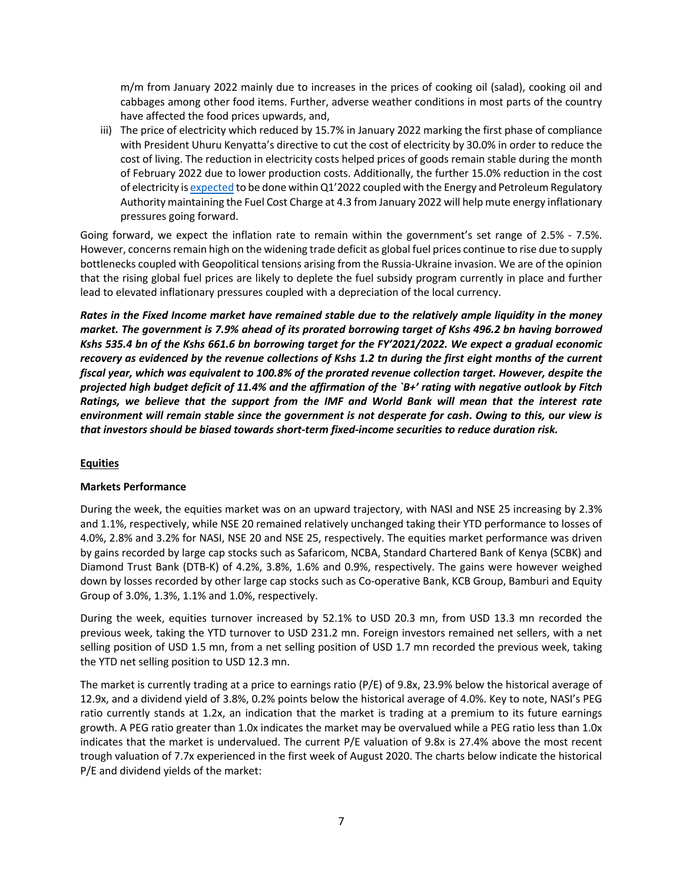m/m from January 2022 mainly due to increases in the prices of cooking oil (salad), cooking oil and cabbages among other food items. Further, adverse weather conditions in most parts of the country have affected the food prices upwards, and,

iii) The price of electricity which reduced by 15.7% in January 2022 marking the first phase of compliance with President Uhuru Kenyatta's directive to cut the cost of electricity by 30.0% in order to reduce the cost of living. The reduction in electricity costs helped prices of goods remain stable during the month of February 2022 due to lower production costs. Additionally, the further 15.0% reduction in the cost of electricity is expected to be done within Q1'2022 coupled with the Energy and Petroleum Regulatory Authority maintaining the Fuel Cost Charge at 4.3 from January 2022 will help mute energy inflationary pressures going forward.

Going forward, we expect the inflation rate to remain within the government's set range of 2.5% - 7.5%. However, concerns remain high on the widening trade deficit as global fuel prices continue to rise due to supply bottlenecks coupled with Geopolitical tensions arising from the Russia-Ukraine invasion. We are of the opinion that the rising global fuel prices are likely to deplete the fuel subsidy program currently in place and further lead to elevated inflationary pressures coupled with a depreciation of the local currency.

*Rates in the Fixed Income market have remained stable due to the relatively ample liquidity in the money market. The government is 7.9% ahead of its prorated borrowing target of Kshs 496.2 bn having borrowed Kshs 535.4 bn of the Kshs 661.6 bn borrowing target for the FY'2021/2022. We expect a gradual economic recovery as evidenced by the revenue collections of Kshs 1.2 tn during the first eight months of the current fiscal year, which was equivalent to 100.8% of the prorated revenue collection target. However, despite the projected high budget deficit of 11.4% and the affirmation of the `B+' rating with negative outlook by Fitch Ratings, we believe that the support from the IMF and World Bank will mean that the interest rate environment will remain stable since the government is not desperate for cash***.** *Owing to this,* **o***ur view is that investors should be biased towards short-term fixed-income securities to reduce duration risk.*

## **Equities**

## **Markets Performance**

During the week, the equities market was on an upward trajectory, with NASI and NSE 25 increasing by 2.3% and 1.1%, respectively, while NSE 20 remained relatively unchanged taking their YTD performance to losses of 4.0%, 2.8% and 3.2% for NASI, NSE 20 and NSE 25, respectively. The equities market performance was driven by gains recorded by large cap stocks such as Safaricom, NCBA, Standard Chartered Bank of Kenya (SCBK) and Diamond Trust Bank (DTB-K) of 4.2%, 3.8%, 1.6% and 0.9%, respectively. The gains were however weighed down by losses recorded by other large cap stocks such as Co-operative Bank, KCB Group, Bamburi and Equity Group of 3.0%, 1.3%, 1.1% and 1.0%, respectively.

During the week, equities turnover increased by 52.1% to USD 20.3 mn, from USD 13.3 mn recorded the previous week, taking the YTD turnover to USD 231.2 mn. Foreign investors remained net sellers, with a net selling position of USD 1.5 mn, from a net selling position of USD 1.7 mn recorded the previous week, taking the YTD net selling position to USD 12.3 mn.

The market is currently trading at a price to earnings ratio (P/E) of 9.8x, 23.9% below the historical average of 12.9x, and a dividend yield of 3.8%, 0.2% points below the historical average of 4.0%. Key to note, NASI's PEG ratio currently stands at 1.2x, an indication that the market is trading at a premium to its future earnings growth. A PEG ratio greater than 1.0x indicates the market may be overvalued while a PEG ratio less than 1.0x indicates that the market is undervalued. The current P/E valuation of 9.8x is 27.4% above the most recent trough valuation of 7.7x experienced in the first week of August 2020. The charts below indicate the historical P/E and dividend yields of the market: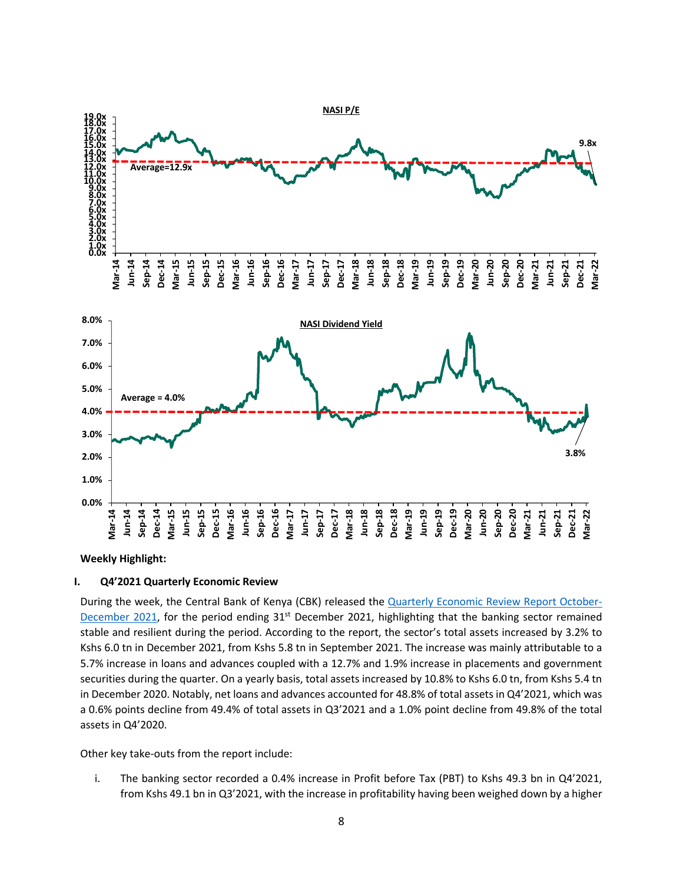

**Weekly Highlight:**

### **I. Q4'2021 Quarterly Economic Review**

During the week, the Central Bank of Kenya (CBK) released the **Quarterly Economic Review Report October-**December 2021, for the period ending  $31<sup>st</sup>$  December 2021, highlighting that the banking sector remained stable and resilient during the period. According to the report, the sector's total assets increased by 3.2% to Kshs 6.0 tn in December 2021, from Kshs 5.8 tn in September 2021. The increase was mainly attributable to a 5.7% increase in loans and advances coupled with a 12.7% and 1.9% increase in placements and government securities during the quarter. On a yearly basis, total assets increased by 10.8% to Kshs 6.0 tn, from Kshs 5.4 tn in December 2020. Notably, net loans and advances accounted for 48.8% of total assets in Q4'2021, which was a 0.6% points decline from 49.4% of total assets in Q3'2021 and a 1.0% point decline from 49.8% of the total assets in Q4'2020.

Other key take-outs from the report include:

i. The banking sector recorded a 0.4% increase in Profit before Tax (PBT) to Kshs 49.3 bn in Q4'2021, from Kshs 49.1 bn in Q3'2021, with the increase in profitability having been weighed down by a higher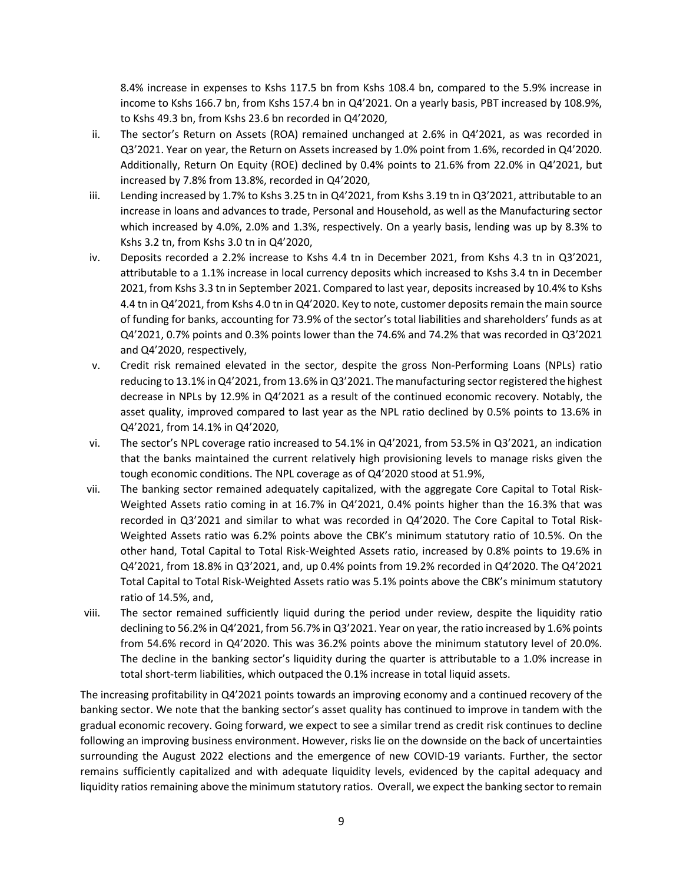8.4% increase in expenses to Kshs 117.5 bn from Kshs 108.4 bn, compared to the 5.9% increase in income to Kshs 166.7 bn, from Kshs 157.4 bn in Q4'2021. On a yearly basis, PBT increased by 108.9%, to Kshs 49.3 bn, from Kshs 23.6 bn recorded in Q4'2020,

- ii. The sector's Return on Assets (ROA) remained unchanged at 2.6% in Q4'2021, as was recorded in Q3'2021. Year on year, the Return on Assets increased by 1.0% point from 1.6%, recorded in Q4'2020. Additionally, Return On Equity (ROE) declined by 0.4% points to 21.6% from 22.0% in Q4'2021, but increased by 7.8% from 13.8%, recorded in Q4'2020,
- iii. Lending increased by 1.7% to Kshs 3.25 tn in Q4'2021, from Kshs 3.19 tn in Q3'2021, attributable to an increase in loans and advances to trade, Personal and Household, as well as the Manufacturing sector which increased by 4.0%, 2.0% and 1.3%, respectively. On a yearly basis, lending was up by 8.3% to Kshs 3.2 tn, from Kshs 3.0 tn in Q4'2020,
- iv. Deposits recorded a 2.2% increase to Kshs 4.4 tn in December 2021, from Kshs 4.3 tn in Q3'2021, attributable to a 1.1% increase in local currency deposits which increased to Kshs 3.4 tn in December 2021, from Kshs 3.3 tn in September 2021. Compared to last year, deposits increased by 10.4% to Kshs 4.4 tn in Q4'2021, from Kshs 4.0 tn in Q4'2020. Key to note, customer deposits remain the main source of funding for banks, accounting for 73.9% of the sector's total liabilities and shareholders' funds as at Q4'2021, 0.7% points and 0.3% points lower than the 74.6% and 74.2% that was recorded in Q3'2021 and Q4'2020, respectively,
- v. Credit risk remained elevated in the sector, despite the gross Non-Performing Loans (NPLs) ratio reducing to 13.1% in Q4'2021, from 13.6% in Q3'2021. The manufacturing sector registered the highest decrease in NPLs by 12.9% in Q4'2021 as a result of the continued economic recovery. Notably, the asset quality, improved compared to last year as the NPL ratio declined by 0.5% points to 13.6% in Q4'2021, from 14.1% in Q4'2020,
- vi. The sector's NPL coverage ratio increased to 54.1% in Q4'2021, from 53.5% in Q3'2021, an indication that the banks maintained the current relatively high provisioning levels to manage risks given the tough economic conditions. The NPL coverage as of Q4'2020 stood at 51.9%,
- vii. The banking sector remained adequately capitalized, with the aggregate Core Capital to Total Risk-Weighted Assets ratio coming in at 16.7% in Q4'2021, 0.4% points higher than the 16.3% that was recorded in Q3'2021 and similar to what was recorded in Q4'2020. The Core Capital to Total Risk-Weighted Assets ratio was 6.2% points above the CBK's minimum statutory ratio of 10.5%. On the other hand, Total Capital to Total Risk-Weighted Assets ratio, increased by 0.8% points to 19.6% in Q4'2021, from 18.8% in Q3'2021, and, up 0.4% points from 19.2% recorded in Q4'2020. The Q4'2021 Total Capital to Total Risk-Weighted Assets ratio was 5.1% points above the CBK's minimum statutory ratio of 14.5%, and,
- viii. The sector remained sufficiently liquid during the period under review, despite the liquidity ratio declining to 56.2% in Q4'2021, from 56.7% in Q3'2021. Year on year, the ratio increased by 1.6% points from 54.6% record in Q4'2020. This was 36.2% points above the minimum statutory level of 20.0%. The decline in the banking sector's liquidity during the quarter is attributable to a 1.0% increase in total short-term liabilities, which outpaced the 0.1% increase in total liquid assets.

The increasing profitability in Q4'2021 points towards an improving economy and a continued recovery of the banking sector. We note that the banking sector's asset quality has continued to improve in tandem with the gradual economic recovery. Going forward, we expect to see a similar trend as credit risk continues to decline following an improving business environment. However, risks lie on the downside on the back of uncertainties surrounding the August 2022 elections and the emergence of new COVID-19 variants. Further, the sector remains sufficiently capitalized and with adequate liquidity levels, evidenced by the capital adequacy and liquidity ratios remaining above the minimum statutory ratios. Overall, we expect the banking sector to remain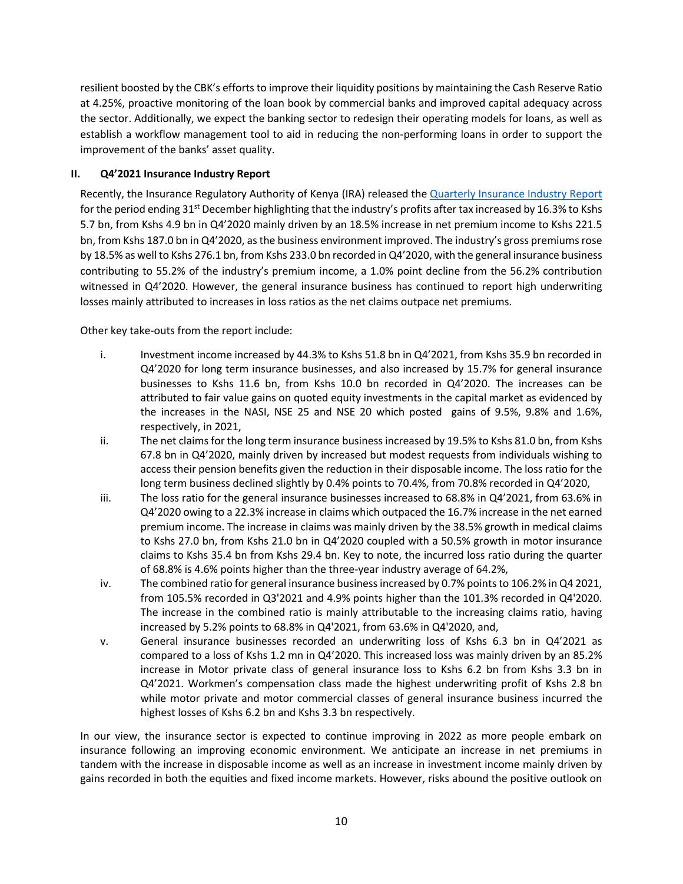resilient boosted by the CBK's efforts to improve their liquidity positions by maintaining the Cash Reserve Ratio at 4.25%, proactive monitoring of the loan book by commercial banks and improved capital adequacy across the sector. Additionally, we expect the banking sector to redesign their operating models for loans, as well as establish a workflow management tool to aid in reducing the non-performing loans in order to support the improvement of the banks' asset quality.

## **II. Q4'2021 Insurance Industry Report**

Recently, the Insurance Regulatory Authority of Kenya (IRA) released the Quarterly Insurance Industry Report for the period ending 31<sup>st</sup> December highlighting that the industry's profits after tax increased by 16.3% to Kshs 5.7 bn, from Kshs 4.9 bn in Q4'2020 mainly driven by an 18.5% increase in net premium income to Kshs 221.5 bn, from Kshs 187.0 bn in Q4'2020, as the business environment improved. The industry's gross premiums rose by 18.5% as well to Kshs 276.1 bn, from Kshs 233.0 bn recorded in Q4'2020, with the general insurance business contributing to 55.2% of the industry's premium income, a 1.0% point decline from the 56.2% contribution witnessed in Q4'2020. However, the general insurance business has continued to report high underwriting losses mainly attributed to increases in loss ratios as the net claims outpace net premiums.

Other key take-outs from the report include:

- i. Investment income increased by 44.3% to Kshs 51.8 bn in Q4'2021, from Kshs 35.9 bn recorded in Q4'2020 for long term insurance businesses, and also increased by 15.7% for general insurance businesses to Kshs 11.6 bn, from Kshs 10.0 bn recorded in Q4'2020. The increases can be attributed to fair value gains on quoted equity investments in the capital market as evidenced by the increases in the NASI, NSE 25 and NSE 20 which posted gains of 9.5%, 9.8% and 1.6%, respectively, in 2021,
- ii. The net claims for the long term insurance business increased by 19.5% to Kshs 81.0 bn, from Kshs 67.8 bn in Q4'2020, mainly driven by increased but modest requests from individuals wishing to access their pension benefits given the reduction in their disposable income. The loss ratio for the long term business declined slightly by 0.4% points to 70.4%, from 70.8% recorded in Q4'2020,
- iii. The loss ratio for the general insurance businesses increased to 68.8% in Q4'2021, from 63.6% in Q4'2020 owing to a 22.3% increase in claims which outpaced the 16.7% increase in the net earned premium income. The increase in claims was mainly driven by the 38.5% growth in medical claims to Kshs 27.0 bn, from Kshs 21.0 bn in Q4'2020 coupled with a 50.5% growth in motor insurance claims to Kshs 35.4 bn from Kshs 29.4 bn. Key to note, the incurred loss ratio during the quarter of 68.8% is 4.6% points higher than the three-year industry average of 64.2%,
- iv. The combined ratio for general insurance business increased by 0.7% points to 106.2% in Q4 2021, from 105.5% recorded in Q3'2021 and 4.9% points higher than the 101.3% recorded in Q4'2020. The increase in the combined ratio is mainly attributable to the increasing claims ratio, having increased by 5.2% points to 68.8% in Q4'2021, from 63.6% in Q4'2020, and,
- v. General insurance businesses recorded an underwriting loss of Kshs 6.3 bn in Q4'2021 as compared to a loss of Kshs 1.2 mn in Q4'2020. This increased loss was mainly driven by an 85.2% increase in Motor private class of general insurance loss to Kshs 6.2 bn from Kshs 3.3 bn in Q4'2021. Workmen's compensation class made the highest underwriting profit of Kshs 2.8 bn while motor private and motor commercial classes of general insurance business incurred the highest losses of Kshs 6.2 bn and Kshs 3.3 bn respectively.

In our view, the insurance sector is expected to continue improving in 2022 as more people embark on insurance following an improving economic environment. We anticipate an increase in net premiums in tandem with the increase in disposable income as well as an increase in investment income mainly driven by gains recorded in both the equities and fixed income markets. However, risks abound the positive outlook on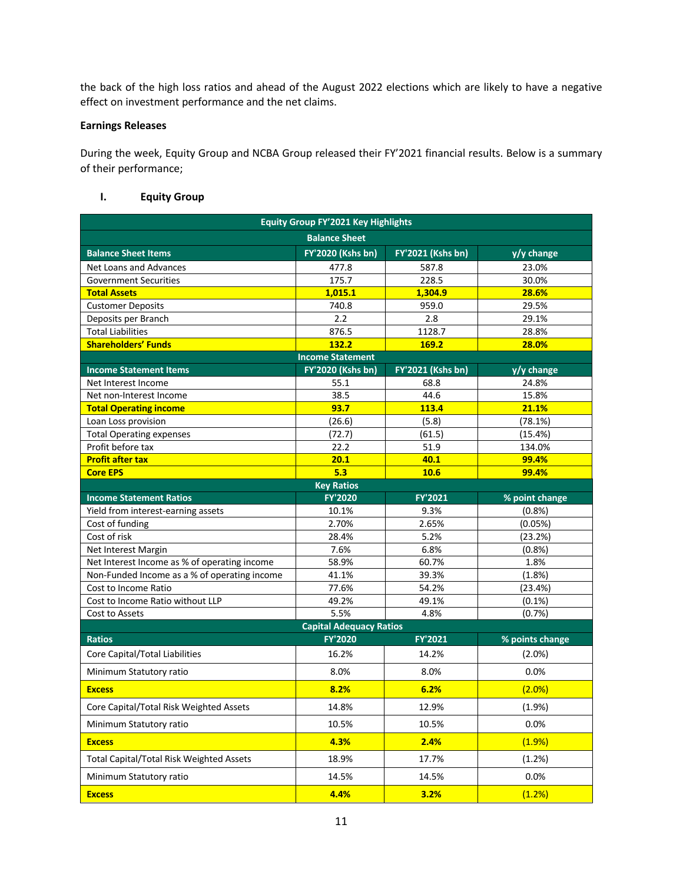the back of the high loss ratios and ahead of the August 2022 elections which are likely to have a negative effect on investment performance and the net claims.

## **Earnings Releases**

During the week, Equity Group and NCBA Group released their FY'2021 financial results. Below is a summary of their performance;

# **I. Equity Group**

|                                                 | <b>Equity Group FY'2021 Key Highlights</b> |                   |                 |
|-------------------------------------------------|--------------------------------------------|-------------------|-----------------|
|                                                 | <b>Balance Sheet</b>                       |                   |                 |
| <b>Balance Sheet Items</b>                      | <b>FY'2020 (Kshs bn)</b>                   | FY'2021 (Kshs bn) | y/y change      |
| Net Loans and Advances                          | 477.8                                      | 587.8             | 23.0%           |
| <b>Government Securities</b>                    | 175.7                                      | 228.5             | 30.0%           |
| <b>Total Assets</b>                             | 1,015.1                                    | 1,304.9           | 28.6%           |
| <b>Customer Deposits</b>                        | 740.8                                      | 959.0             | 29.5%           |
| Deposits per Branch                             | 2.2                                        | 2.8               | 29.1%           |
| <b>Total Liabilities</b>                        | 876.5                                      | 1128.7            | 28.8%           |
| <b>Shareholders' Funds</b>                      | 132.2                                      | 169.2             | 28.0%           |
|                                                 | <b>Income Statement</b>                    |                   |                 |
| <b>Income Statement Items</b>                   | FY'2020 (Kshs bn)                          | FY'2021 (Kshs bn) | y/y change      |
| Net Interest Income                             | 55.1                                       | 68.8              | 24.8%           |
| Net non-Interest Income                         | 38.5                                       | 44.6              | 15.8%           |
| <b>Total Operating income</b>                   | 93.7                                       | 113.4             | 21.1%           |
| Loan Loss provision                             | (26.6)                                     | (5.8)             | (78.1%)         |
| <b>Total Operating expenses</b>                 | (72.7)                                     | (61.5)            | (15.4%)         |
| Profit before tax                               | 22.2                                       | 51.9              | 134.0%          |
| <b>Profit after tax</b>                         | 20.1                                       | 40.1              | 99.4%           |
| <b>Core EPS</b>                                 | 5.3                                        | 10.6              | 99.4%           |
|                                                 | <b>Key Ratios</b>                          |                   |                 |
| <b>Income Statement Ratios</b>                  | FY'2020                                    | FY'2021           | % point change  |
| Yield from interest-earning assets              | 10.1%                                      | 9.3%              | (0.8%           |
| Cost of funding                                 | 2.70%                                      | 2.65%             | (0.05%)         |
| Cost of risk                                    | 28.4%                                      | 5.2%              | (23.2%)         |
| Net Interest Margin                             | 7.6%                                       | 6.8%              | (0.8%           |
| Net Interest Income as % of operating income    | 58.9%                                      | 60.7%             | 1.8%            |
| Non-Funded Income as a % of operating income    | 41.1%                                      | 39.3%             | (1.8%)          |
| Cost to Income Ratio                            | 77.6%                                      | 54.2%             | (23.4%)         |
| Cost to Income Ratio without LLP                | 49.2%                                      | 49.1%             | $(0.1\%)$       |
| Cost to Assets                                  | 5.5%                                       | 4.8%              | (0.7%           |
|                                                 | <b>Capital Adequacy Ratios</b>             |                   |                 |
| <b>Ratios</b>                                   | FY'2020                                    | FY'2021           | % points change |
| Core Capital/Total Liabilities                  | 16.2%                                      | 14.2%             | (2.0%)          |
| Minimum Statutory ratio                         | 8.0%                                       | 8.0%              | 0.0%            |
| <b>Excess</b>                                   | 8.2%                                       | 6.2%              | (2.0%)          |
| Core Capital/Total Risk Weighted Assets         | 14.8%                                      | 12.9%             | (1.9%)          |
| Minimum Statutory ratio                         | 10.5%                                      | 10.5%             | 0.0%            |
| <b>Excess</b>                                   | 4.3%                                       | 2.4%              | (1.9%)          |
| <b>Total Capital/Total Risk Weighted Assets</b> | 18.9%                                      | 17.7%             | (1.2%)          |
| Minimum Statutory ratio                         | 14.5%                                      | 14.5%             | 0.0%            |
| <b>Excess</b>                                   | 4.4%                                       | 3.2%              | (1.2%)          |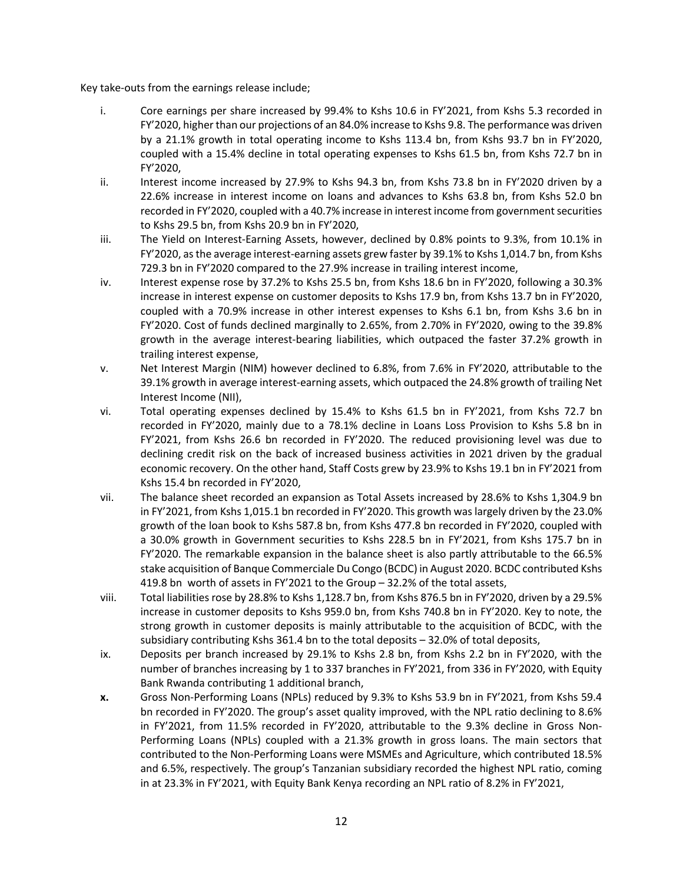Key take-outs from the earnings release include;

- i. Core earnings per share increased by 99.4% to Kshs 10.6 in FY'2021, from Kshs 5.3 recorded in FY'2020, higher than our projections of an 84.0% increase to Kshs 9.8. The performance was driven by a 21.1% growth in total operating income to Kshs 113.4 bn, from Kshs 93.7 bn in FY'2020, coupled with a 15.4% decline in total operating expenses to Kshs 61.5 bn, from Kshs 72.7 bn in FY'2020,
- ii. Interest income increased by 27.9% to Kshs 94.3 bn, from Kshs 73.8 bn in FY'2020 driven by a 22.6% increase in interest income on loans and advances to Kshs 63.8 bn, from Kshs 52.0 bn recorded in FY'2020, coupled with a 40.7% increase in interest income from government securities to Kshs 29.5 bn, from Kshs 20.9 bn in FY'2020,
- iii. The Yield on Interest-Earning Assets, however, declined by 0.8% points to 9.3%, from 10.1% in FY'2020, as the average interest-earning assets grew faster by 39.1% to Kshs 1,014.7 bn, from Kshs 729.3 bn in FY'2020 compared to the 27.9% increase in trailing interest income,
- iv. Interest expense rose by 37.2% to Kshs 25.5 bn, from Kshs 18.6 bn in FY'2020, following a 30.3% increase in interest expense on customer deposits to Kshs 17.9 bn, from Kshs 13.7 bn in FY'2020, coupled with a 70.9% increase in other interest expenses to Kshs 6.1 bn, from Kshs 3.6 bn in FY'2020. Cost of funds declined marginally to 2.65%, from 2.70% in FY'2020, owing to the 39.8% growth in the average interest-bearing liabilities, which outpaced the faster 37.2% growth in trailing interest expense,
- v. Net Interest Margin (NIM) however declined to 6.8%, from 7.6% in FY'2020, attributable to the 39.1% growth in average interest-earning assets, which outpaced the 24.8% growth of trailing Net Interest Income (NII),
- vi. Total operating expenses declined by 15.4% to Kshs 61.5 bn in FY'2021, from Kshs 72.7 bn recorded in FY'2020, mainly due to a 78.1% decline in Loans Loss Provision to Kshs 5.8 bn in FY'2021, from Kshs 26.6 bn recorded in FY'2020. The reduced provisioning level was due to declining credit risk on the back of increased business activities in 2021 driven by the gradual economic recovery. On the other hand, Staff Costs grew by 23.9% to Kshs 19.1 bn in FY'2021 from Kshs 15.4 bn recorded in FY'2020,
- vii. The balance sheet recorded an expansion as Total Assets increased by 28.6% to Kshs 1,304.9 bn in FY'2021, from Kshs 1,015.1 bn recorded in FY'2020. This growth was largely driven by the 23.0% growth of the loan book to Kshs 587.8 bn, from Kshs 477.8 bn recorded in FY'2020, coupled with a 30.0% growth in Government securities to Kshs 228.5 bn in FY'2021, from Kshs 175.7 bn in FY'2020. The remarkable expansion in the balance sheet is also partly attributable to the 66.5% stake acquisition of Banque Commerciale Du Congo (BCDC) in August 2020. BCDC contributed Kshs 419.8 bn worth of assets in FY'2021 to the Group – 32.2% of the total assets,
- viii. Total liabilities rose by 28.8% to Kshs 1,128.7 bn, from Kshs 876.5 bn in FY'2020, driven by a 29.5% increase in customer deposits to Kshs 959.0 bn, from Kshs 740.8 bn in FY'2020. Key to note, the strong growth in customer deposits is mainly attributable to the acquisition of BCDC, with the subsidiary contributing Kshs 361.4 bn to the total deposits – 32.0% of total deposits,
- ix. Deposits per branch increased by 29.1% to Kshs 2.8 bn, from Kshs 2.2 bn in FY'2020, with the number of branches increasing by 1 to 337 branches in FY'2021, from 336 in FY'2020, with Equity Bank Rwanda contributing 1 additional branch,
- **x.** Gross Non-Performing Loans (NPLs) reduced by 9.3% to Kshs 53.9 bn in FY'2021, from Kshs 59.4 bn recorded in FY'2020. The group's asset quality improved, with the NPL ratio declining to 8.6% in FY'2021, from 11.5% recorded in FY'2020, attributable to the 9.3% decline in Gross Non-Performing Loans (NPLs) coupled with a 21.3% growth in gross loans. The main sectors that contributed to the Non-Performing Loans were MSMEs and Agriculture, which contributed 18.5% and 6.5%, respectively. The group's Tanzanian subsidiary recorded the highest NPL ratio, coming in at 23.3% in FY'2021, with Equity Bank Kenya recording an NPL ratio of 8.2% in FY'2021,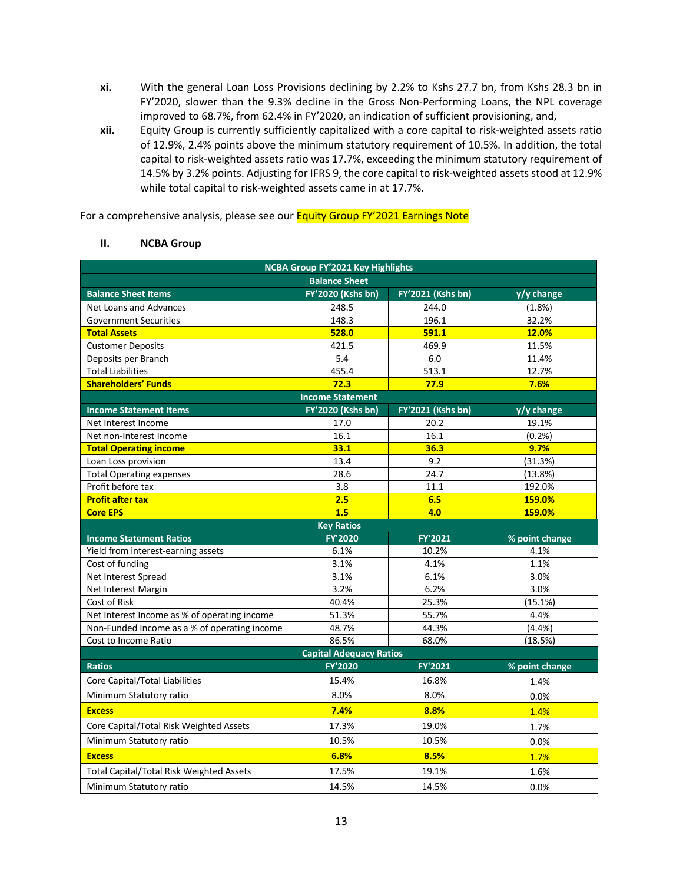- **xi.** With the general Loan Loss Provisions declining by 2.2% to Kshs 27.7 bn, from Kshs 28.3 bn in FY'2020, slower than the 9.3% decline in the Gross Non-Performing Loans, the NPL coverage improved to 68.7%, from 62.4% in FY'2020, an indication of sufficient provisioning, and,
- **xii.** Equity Group is currently sufficiently capitalized with a core capital to risk-weighted assets ratio of 12.9%, 2.4% points above the minimum statutory requirement of 10.5%. In addition, the total capital to risk-weighted assets ratio was 17.7%, exceeding the minimum statutory requirement of 14.5% by 3.2% points. Adjusting for IFRS 9, the core capital to risk-weighted assets stood at 12.9% while total capital to risk-weighted assets came in at 17.7%.

For a comprehensive analysis, please see our **Equity Group FY'2021 Earnings Note** 

## **II. NCBA Group**

|                                                 | NCBA Group FY'2021 Key Highlights |                   |                |  |  |  |  |  |  |
|-------------------------------------------------|-----------------------------------|-------------------|----------------|--|--|--|--|--|--|
|                                                 | <b>Balance Sheet</b>              |                   |                |  |  |  |  |  |  |
| <b>Balance Sheet Items</b>                      | <b>FY'2020 (Kshs bn)</b>          | FY'2021 (Kshs bn) | y/y change     |  |  |  |  |  |  |
| <b>Net Loans and Advances</b>                   | 248.5                             | 244.0             | (1.8%)         |  |  |  |  |  |  |
| <b>Government Securities</b>                    | 148.3                             | 196.1             | 32.2%          |  |  |  |  |  |  |
| <b>Total Assets</b>                             | 528.0                             | 591.1             | 12.0%          |  |  |  |  |  |  |
| <b>Customer Deposits</b>                        | 421.5                             | 469.9             | 11.5%          |  |  |  |  |  |  |
| Deposits per Branch                             | 5.4                               | 6.0               | 11.4%          |  |  |  |  |  |  |
| <b>Total Liabilities</b>                        | 455.4                             | 513.1             | 12.7%          |  |  |  |  |  |  |
| <b>Shareholders' Funds</b>                      | 72.3                              | 77.9              | 7.6%           |  |  |  |  |  |  |
|                                                 | <b>Income Statement</b>           |                   |                |  |  |  |  |  |  |
| <b>Income Statement Items</b>                   | FY'2020 (Kshs bn)                 | FY'2021 (Kshs bn) | y/y change     |  |  |  |  |  |  |
| Net Interest Income                             | 17.0                              | 20.2              | 19.1%          |  |  |  |  |  |  |
| Net non-Interest Income                         | 16.1                              | 16.1              | (0.2%          |  |  |  |  |  |  |
| <b>Total Operating income</b>                   | 33.1                              | 36.3              | 9.7%           |  |  |  |  |  |  |
| Loan Loss provision                             | 13.4                              | 9.2               | (31.3%)        |  |  |  |  |  |  |
| <b>Total Operating expenses</b>                 | 28.6                              | 24.7              | (13.8%)        |  |  |  |  |  |  |
| Profit before tax                               | 3.8                               | 11.1              | 192.0%         |  |  |  |  |  |  |
| <b>Profit after tax</b>                         | 2.5                               | 6.5               | 159.0%         |  |  |  |  |  |  |
| <b>Core EPS</b>                                 | 1.5                               | 4.0               | 159.0%         |  |  |  |  |  |  |
|                                                 | <b>Key Ratios</b>                 |                   |                |  |  |  |  |  |  |
| <b>Income Statement Ratios</b>                  | <b>FY'2020</b>                    | FY'2021           | % point change |  |  |  |  |  |  |
| Yield from interest-earning assets              | 6.1%                              | 10.2%             | 4.1%           |  |  |  |  |  |  |
| Cost of funding                                 | 3.1%                              | 4.1%              | 1.1%           |  |  |  |  |  |  |
| Net Interest Spread                             | 3.1%                              | 6.1%              | 3.0%           |  |  |  |  |  |  |
| Net Interest Margin                             | 3.2%                              | 6.2%              | 3.0%           |  |  |  |  |  |  |
| Cost of Risk                                    | 40.4%                             | 25.3%             | (15.1%)        |  |  |  |  |  |  |
| Net Interest Income as % of operating income    | 51.3%                             | 55.7%             | 4.4%           |  |  |  |  |  |  |
| Non-Funded Income as a % of operating income    | 48.7%                             | 44.3%             | (4.4%)         |  |  |  |  |  |  |
| Cost to Income Ratio                            | 86.5%                             | 68.0%             | (18.5%)        |  |  |  |  |  |  |
|                                                 | <b>Capital Adequacy Ratios</b>    |                   |                |  |  |  |  |  |  |
| <b>Ratios</b>                                   | FY'2020                           | FY'2021           | % point change |  |  |  |  |  |  |
| Core Capital/Total Liabilities                  | 15.4%                             | 16.8%             | 1.4%           |  |  |  |  |  |  |
| Minimum Statutory ratio                         | 8.0%                              | 8.0%              | 0.0%           |  |  |  |  |  |  |
| <b>Excess</b>                                   | 7.4%                              | 8.8%              | 1.4%           |  |  |  |  |  |  |
| Core Capital/Total Risk Weighted Assets         | 17.3%                             | 19.0%             | 1.7%           |  |  |  |  |  |  |
| Minimum Statutory ratio                         | 10.5%                             | 10.5%             | 0.0%           |  |  |  |  |  |  |
| <b>Excess</b>                                   | 6.8%                              | 8.5%              | 1.7%           |  |  |  |  |  |  |
| <b>Total Capital/Total Risk Weighted Assets</b> | 17.5%                             | 19.1%             | 1.6%           |  |  |  |  |  |  |
| Minimum Statutory ratio                         | 14.5%                             | 14.5%             | 0.0%           |  |  |  |  |  |  |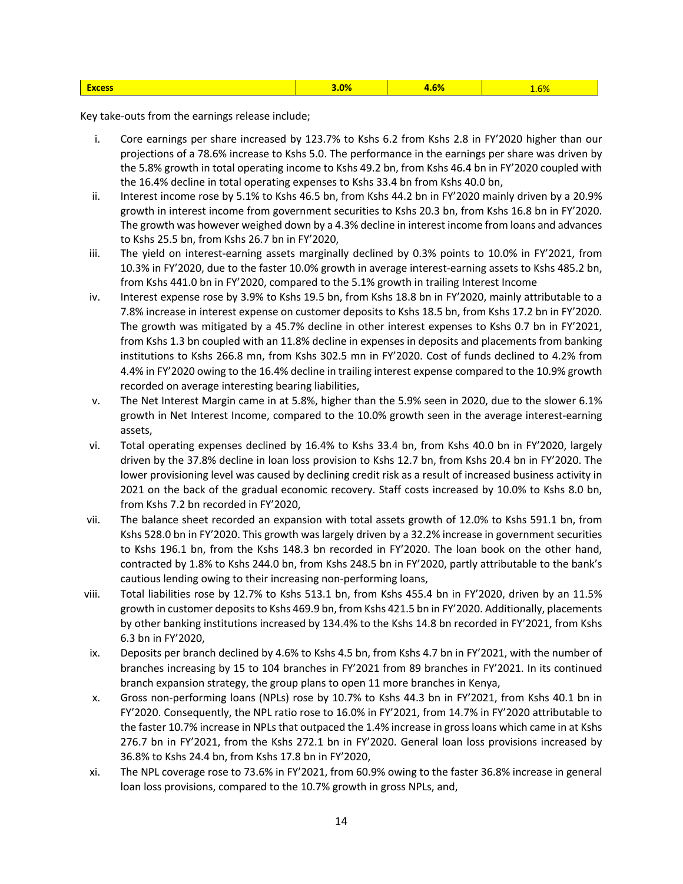|  | <b>YCASS</b> | <b>And</b> |  |  |
|--|--------------|------------|--|--|
|--|--------------|------------|--|--|

Key take-outs from the earnings release include;

- i. Core earnings per share increased by 123.7% to Kshs 6.2 from Kshs 2.8 in FY'2020 higher than our projections of a 78.6% increase to Kshs 5.0. The performance in the earnings per share was driven by the 5.8% growth in total operating income to Kshs 49.2 bn, from Kshs 46.4 bn in FY'2020 coupled with the 16.4% decline in total operating expenses to Kshs 33.4 bn from Kshs 40.0 bn,
- ii. Interest income rose by 5.1% to Kshs 46.5 bn, from Kshs 44.2 bn in FY'2020 mainly driven by a 20.9% growth in interest income from government securities to Kshs 20.3 bn, from Kshs 16.8 bn in FY'2020. The growth was however weighed down by a 4.3% decline in interest income from loans and advances to Kshs 25.5 bn, from Kshs 26.7 bn in FY'2020,
- iii. The yield on interest-earning assets marginally declined by 0.3% points to 10.0% in FY'2021, from 10.3% in FY'2020, due to the faster 10.0% growth in average interest-earning assets to Kshs 485.2 bn, from Kshs 441.0 bn in FY'2020, compared to the 5.1% growth in trailing Interest Income
- iv. Interest expense rose by 3.9% to Kshs 19.5 bn, from Kshs 18.8 bn in FY'2020, mainly attributable to a 7.8% increase in interest expense on customer deposits to Kshs 18.5 bn, from Kshs 17.2 bn in FY'2020. The growth was mitigated by a 45.7% decline in other interest expenses to Kshs 0.7 bn in FY'2021, from Kshs 1.3 bn coupled with an 11.8% decline in expenses in deposits and placements from banking institutions to Kshs 266.8 mn, from Kshs 302.5 mn in FY'2020. Cost of funds declined to 4.2% from 4.4% in FY'2020 owing to the 16.4% decline in trailing interest expense compared to the 10.9% growth recorded on average interesting bearing liabilities,
- v. The Net Interest Margin came in at 5.8%, higher than the 5.9% seen in 2020, due to the slower 6.1% growth in Net Interest Income, compared to the 10.0% growth seen in the average interest-earning assets,
- vi. Total operating expenses declined by 16.4% to Kshs 33.4 bn, from Kshs 40.0 bn in FY'2020, largely driven by the 37.8% decline in loan loss provision to Kshs 12.7 bn, from Kshs 20.4 bn in FY'2020. The lower provisioning level was caused by declining credit risk as a result of increased business activity in 2021 on the back of the gradual economic recovery. Staff costs increased by 10.0% to Kshs 8.0 bn, from Kshs 7.2 bn recorded in FY'2020,
- vii. The balance sheet recorded an expansion with total assets growth of 12.0% to Kshs 591.1 bn, from Kshs 528.0 bn in FY'2020. This growth was largely driven by a 32.2% increase in government securities to Kshs 196.1 bn, from the Kshs 148.3 bn recorded in FY'2020. The loan book on the other hand, contracted by 1.8% to Kshs 244.0 bn, from Kshs 248.5 bn in FY'2020, partly attributable to the bank's cautious lending owing to their increasing non-performing loans,
- viii. Total liabilities rose by 12.7% to Kshs 513.1 bn, from Kshs 455.4 bn in FY'2020, driven by an 11.5% growth in customer deposits to Kshs 469.9 bn, from Kshs 421.5 bn in FY'2020. Additionally, placements by other banking institutions increased by 134.4% to the Kshs 14.8 bn recorded in FY'2021, from Kshs 6.3 bn in FY'2020,
- ix. Deposits per branch declined by 4.6% to Kshs 4.5 bn, from Kshs 4.7 bn in FY'2021, with the number of branches increasing by 15 to 104 branches in FY'2021 from 89 branches in FY'2021. In its continued branch expansion strategy, the group plans to open 11 more branches in Kenya,
- x. Gross non-performing loans (NPLs) rose by 10.7% to Kshs 44.3 bn in FY'2021, from Kshs 40.1 bn in FY'2020. Consequently, the NPL ratio rose to 16.0% in FY'2021, from 14.7% in FY'2020 attributable to the faster 10.7% increase in NPLs that outpaced the 1.4% increase in gross loans which came in at Kshs 276.7 bn in FY'2021, from the Kshs 272.1 bn in FY'2020. General loan loss provisions increased by 36.8% to Kshs 24.4 bn, from Kshs 17.8 bn in FY'2020,
- xi. The NPL coverage rose to 73.6% in FY'2021, from 60.9% owing to the faster 36.8% increase in general loan loss provisions, compared to the 10.7% growth in gross NPLs, and,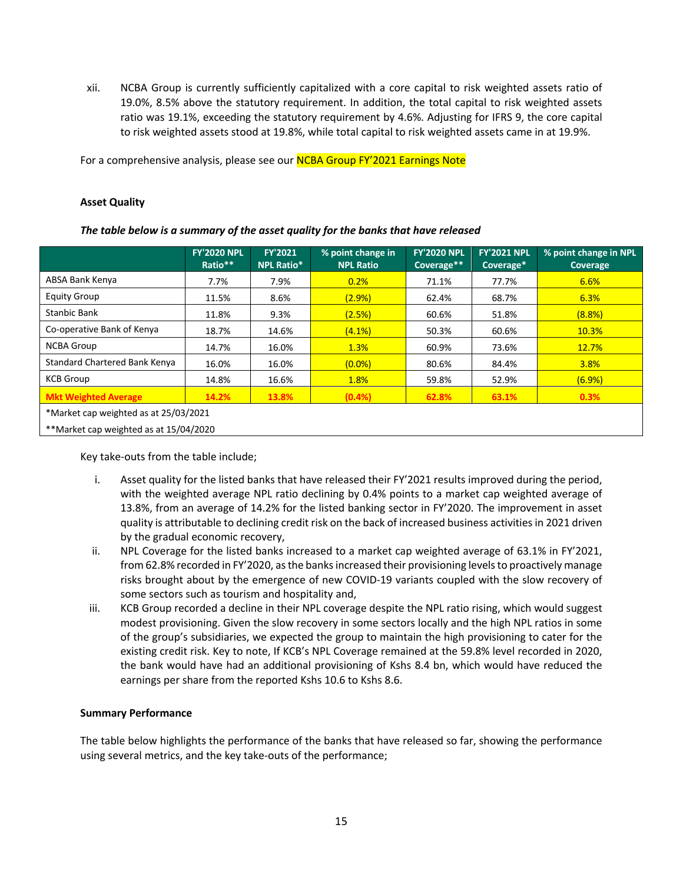xii. NCBA Group is currently sufficiently capitalized with a core capital to risk weighted assets ratio of 19.0%, 8.5% above the statutory requirement. In addition, the total capital to risk weighted assets ratio was 19.1%, exceeding the statutory requirement by 4.6%. Adjusting for IFRS 9, the core capital to risk weighted assets stood at 19.8%, while total capital to risk weighted assets came in at 19.9%.

For a comprehensive analysis, please see our NCBA Group FY'2021 Earnings Note

### **Asset Quality**

### *The table below is a summary of the asset quality for the banks that have released*

|                                        | <b>FY'2020 NPL</b><br>Ratio** | <b>FY'2021</b><br>NPL Ratio* | % point change in<br><b>NPL Ratio</b> | <b>FY'2020 NPL</b><br>Coverage** | <b>FY'2021 NPL</b><br>Coverage* | % point change in NPL<br><b>Coverage</b> |
|----------------------------------------|-------------------------------|------------------------------|---------------------------------------|----------------------------------|---------------------------------|------------------------------------------|
| ABSA Bank Kenya                        | 7.7%                          | 7.9%                         | 0.2%                                  | 71.1%                            | 77.7%                           | 6.6%                                     |
| <b>Equity Group</b>                    | 11.5%                         | 8.6%                         | (2.9% )                               | 62.4%                            | 68.7%                           | 6.3%                                     |
| <b>Stanbic Bank</b>                    | 11.8%                         | 9.3%                         | (2.5%)                                | 60.6%                            | 51.8%                           | (8.8%)                                   |
| Co-operative Bank of Kenya             | 18.7%                         | 14.6%                        | (4.1%)                                | 50.3%                            | 60.6%                           | 10.3%                                    |
| <b>NCBA Group</b>                      | 14.7%                         | 16.0%                        | 1.3%                                  | 60.9%                            | 73.6%                           | 12.7%                                    |
| Standard Chartered Bank Kenya          | 16.0%                         | 16.0%                        | $(0.0\%)$                             | 80.6%                            | 84.4%                           | 3.8%                                     |
| <b>KCB Group</b>                       | 14.8%                         | 16.6%                        | 1.8%                                  | 59.8%                            | 52.9%                           | (6.9%)                                   |
| <b>Mkt Weighted Average</b>            | 14.2%                         | 13.8%                        | (0.4% )                               | 62.8%                            | 63.1%                           | 0.3%                                     |
| *Market cap weighted as at 25/03/2021  |                               |                              |                                       |                                  |                                 |                                          |
| **Market cap weighted as at 15/04/2020 |                               |                              |                                       |                                  |                                 |                                          |

Key take-outs from the table include;

- i. Asset quality for the listed banks that have released their FY'2021 results improved during the period, with the weighted average NPL ratio declining by 0.4% points to a market cap weighted average of 13.8%, from an average of 14.2% for the listed banking sector in FY'2020. The improvement in asset quality is attributable to declining credit risk on the back of increased business activities in 2021 driven by the gradual economic recovery,
- ii. NPL Coverage for the listed banks increased to a market cap weighted average of 63.1% in FY'2021, from 62.8% recorded in FY'2020, as the banks increased their provisioning levelsto proactively manage risks brought about by the emergence of new COVID-19 variants coupled with the slow recovery of some sectors such as tourism and hospitality and,
- iii. KCB Group recorded a decline in their NPL coverage despite the NPL ratio rising, which would suggest modest provisioning. Given the slow recovery in some sectors locally and the high NPL ratios in some of the group's subsidiaries, we expected the group to maintain the high provisioning to cater for the existing credit risk. Key to note, If KCB's NPL Coverage remained at the 59.8% level recorded in 2020, the bank would have had an additional provisioning of Kshs 8.4 bn, which would have reduced the earnings per share from the reported Kshs 10.6 to Kshs 8.6.

## **Summary Performance**

The table below highlights the performance of the banks that have released so far, showing the performance using several metrics, and the key take-outs of the performance;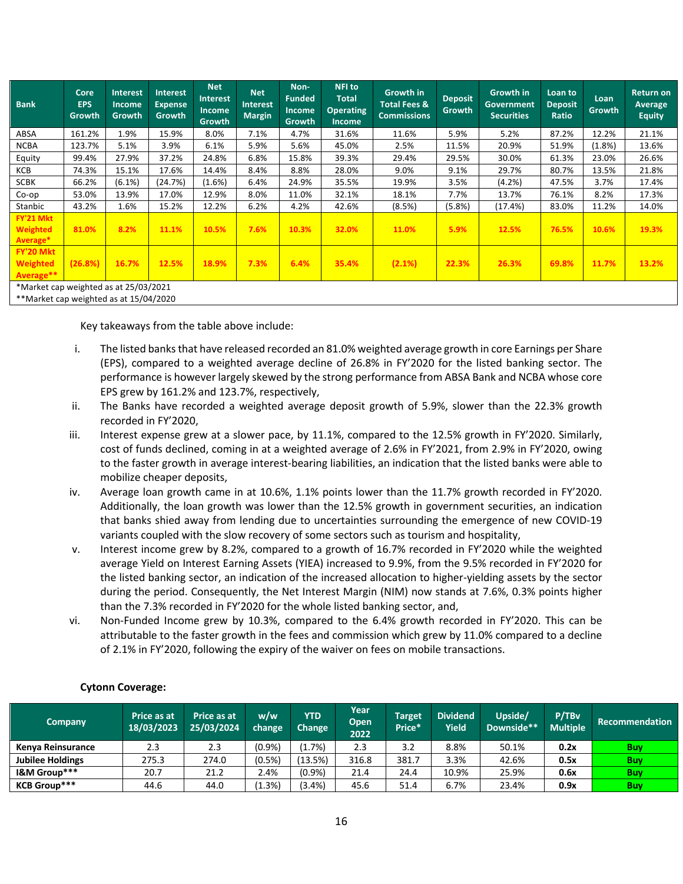| <b>Bank</b>                                                                     | Core<br><b>EPS</b><br>Growth | <b>Interest</b><br><b>Income</b><br>Growth | <b>Interest</b><br><b>Expense</b><br>Growth | <b>Net</b><br><b>Interest</b><br><b>Income</b><br><b>Growth</b> | <b>Net</b><br><b>Interest</b><br><b>Margin</b> | Non-<br><b>Funded</b><br><b>Income</b><br>Growth | <b>NFI</b> to<br><b>Total</b><br><b>Operating</b><br><b>Income</b> | Growth in<br><b>Total Fees &amp;</b><br><b>Commissions</b> | <b>Deposit</b><br>Growth | <b>Growth in</b><br><b>Government</b><br><b>Securities</b> | Loan to<br><b>Deposit</b><br>Ratio | Loan<br>Growth | <b>Return on</b><br>Average<br><b>Equity</b> |
|---------------------------------------------------------------------------------|------------------------------|--------------------------------------------|---------------------------------------------|-----------------------------------------------------------------|------------------------------------------------|--------------------------------------------------|--------------------------------------------------------------------|------------------------------------------------------------|--------------------------|------------------------------------------------------------|------------------------------------|----------------|----------------------------------------------|
| ABSA                                                                            | 161.2%                       | 1.9%                                       | 15.9%                                       | 8.0%                                                            | 7.1%                                           | 4.7%                                             | 31.6%                                                              | 11.6%                                                      | 5.9%                     | 5.2%                                                       | 87.2%                              | 12.2%          | 21.1%                                        |
| <b>NCBA</b>                                                                     | 123.7%                       | 5.1%                                       | 3.9%                                        | 6.1%                                                            | 5.9%                                           | 5.6%                                             | 45.0%                                                              | 2.5%                                                       | 11.5%                    | 20.9%                                                      | 51.9%                              | (1.8%)         | 13.6%                                        |
| Equity                                                                          | 99.4%                        | 27.9%                                      | 37.2%                                       | 24.8%                                                           | 6.8%                                           | 15.8%                                            | 39.3%                                                              | 29.4%                                                      | 29.5%                    | 30.0%                                                      | 61.3%                              | 23.0%          | 26.6%                                        |
| KCB                                                                             | 74.3%                        | 15.1%                                      | 17.6%                                       | 14.4%                                                           | 8.4%                                           | 8.8%                                             | 28.0%                                                              | 9.0%                                                       | 9.1%                     | 29.7%                                                      | 80.7%                              | 13.5%          | 21.8%                                        |
| <b>SCBK</b>                                                                     | 66.2%                        | $(6.1\%)$                                  | (24.7%)                                     | $(1.6\%)$                                                       | 6.4%                                           | 24.9%                                            | 35.5%                                                              | 19.9%                                                      | 3.5%                     | (4.2%)                                                     | 47.5%                              | 3.7%           | 17.4%                                        |
| Co-op                                                                           | 53.0%                        | 13.9%                                      | 17.0%                                       | 12.9%                                                           | 8.0%                                           | 11.0%                                            | 32.1%                                                              | 18.1%                                                      | 7.7%                     | 13.7%                                                      | 76.1%                              | 8.2%           | 17.3%                                        |
| Stanbic                                                                         | 43.2%                        | 1.6%                                       | 15.2%                                       | 12.2%                                                           | 6.2%                                           | 4.2%                                             | 42.6%                                                              | (8.5%)                                                     | (5.8%)                   | (17.4%)                                                    | 83.0%                              | 11.2%          | 14.0%                                        |
| FY'21 Mkt<br><b>Weighted</b><br>Average*                                        | 81.0%                        | 8.2%                                       | 11.1%                                       | 10.5%                                                           | 7.6%                                           | 10.3%                                            | 32.0%                                                              | 11.0%                                                      | 5.9%                     | 12.5%                                                      | 76.5%                              | 10.6%          | 19.3%                                        |
| FY'20 Mkt<br><b>Weighted</b><br>Average**                                       | (26.8%)                      | 16.7%                                      | 12.5%                                       | 18.9%                                                           | 7.3%                                           | 6.4%                                             | 35.4%                                                              | (2.1%)                                                     | 22.3%                    | 26.3%                                                      | 69.8%                              | 11.7%          | 13.2%                                        |
| *Market cap weighted as at 25/03/2021<br>**Market cap weighted as at 15/04/2020 |                              |                                            |                                             |                                                                 |                                                |                                                  |                                                                    |                                                            |                          |                                                            |                                    |                |                                              |

Key takeaways from the table above include:

- i. The listed banks that have released recorded an 81.0% weighted average growth in core Earnings per Share (EPS), compared to a weighted average decline of 26.8% in FY'2020 for the listed banking sector. The performance is however largely skewed by the strong performance from ABSA Bank and NCBA whose core EPS grew by 161.2% and 123.7%, respectively,
- ii. The Banks have recorded a weighted average deposit growth of 5.9%, slower than the 22.3% growth recorded in FY'2020,
- iii. Interest expense grew at a slower pace, by 11.1%, compared to the 12.5% growth in FY'2020. Similarly, cost of funds declined, coming in at a weighted average of 2.6% in FY'2021, from 2.9% in FY'2020, owing to the faster growth in average interest-bearing liabilities, an indication that the listed banks were able to mobilize cheaper deposits,
- iv. Average loan growth came in at 10.6%, 1.1% points lower than the 11.7% growth recorded in FY'2020. Additionally, the loan growth was lower than the 12.5% growth in government securities, an indication that banks shied away from lending due to uncertainties surrounding the emergence of new COVID-19 variants coupled with the slow recovery of some sectors such as tourism and hospitality,
- v. Interest income grew by 8.2%, compared to a growth of 16.7% recorded in FY'2020 while the weighted average Yield on Interest Earning Assets (YIEA) increased to 9.9%, from the 9.5% recorded in FY'2020 for the listed banking sector, an indication of the increased allocation to higher-yielding assets by the sector during the period. Consequently, the Net Interest Margin (NIM) now stands at 7.6%, 0.3% points higher than the 7.3% recorded in FY'2020 for the whole listed banking sector, and,
- vi. Non-Funded Income grew by 10.3%, compared to the 6.4% growth recorded in FY'2020. This can be attributable to the faster growth in the fees and commission which grew by 11.0% compared to a decline of 2.1% in FY'2020, following the expiry of the waiver on fees on mobile transactions.

| <b>Company</b>           | Price as at<br>18/03/2023 | Price as at<br>25/03/2024 | w/w<br>change | <b>YTD</b><br><b>Change</b> | Year<br>Open<br>2022 | <b>Target</b><br>Price* | <b>Dividend</b><br><b>Vield</b> | Upside/<br>Downside** | P/TBv<br><b>Multiple</b> | <b>Recommendation</b> |
|--------------------------|---------------------------|---------------------------|---------------|-----------------------------|----------------------|-------------------------|---------------------------------|-----------------------|--------------------------|-----------------------|
| <b>Kenva Reinsurance</b> | 2.3                       | 2.3                       | (0.9%         | $1.7\%)$                    | 2.3                  | 3.2                     | 8.8%                            | 50.1%                 | 0.2x                     | Buy                   |
| <b>Jubilee Holdings</b>  | 275.3                     | 274.0                     | (0.5%         | $13.5\%$                    | 316.8                | 381.7                   | 3.3%                            | 42.6%                 | 0.5x                     | Buy                   |
| I&M Group***             | 20.7                      | 21.2                      | 2.4%          | (0.9%                       | 21.4                 | 24.4                    | 10.9%                           | 25.9%                 | 0.6x                     | <b>Buv</b>            |
| <b>KCB Group***</b>      | 44.6                      | 44.0                      | (1.3%)        | $(3.4\%)$                   | 45.6                 | 51.4                    | 6.7%                            | 23.4%                 | 0.9x                     | Buy                   |

## **Cytonn Coverage:**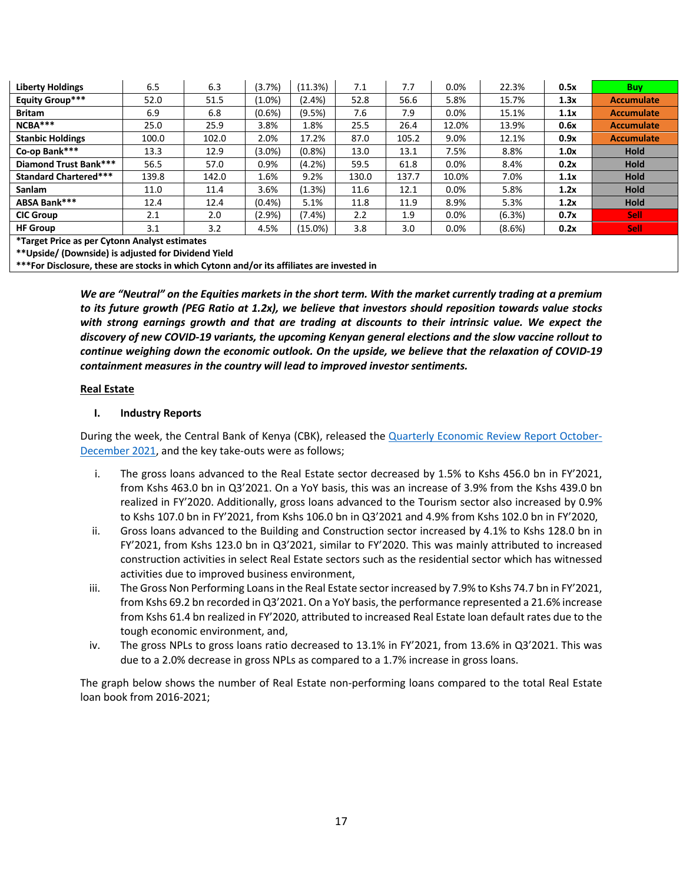| <b>Liberty Holdings</b>                       | 6.5   | 6.3   | (3.7%)    | (11.3%)    | 7.1   | 7.7   | 0.0%    | 22.3%  | 0.5x | <b>Buy</b>        |
|-----------------------------------------------|-------|-------|-----------|------------|-------|-------|---------|--------|------|-------------------|
| <b>Equity Group***</b>                        | 52.0  | 51.5  | $(1.0\%)$ | $(2.4\%)$  | 52.8  | 56.6  | 5.8%    | 15.7%  | 1.3x | <b>Accumulate</b> |
| <b>Britam</b>                                 | 6.9   | 6.8   | $(0.6\%)$ | (9.5%)     | 7.6   | 7.9   | $0.0\%$ | 15.1%  | 1.1x | <b>Accumulate</b> |
| NCBA***                                       | 25.0  | 25.9  | 3.8%      | 1.8%       | 25.5  | 26.4  | 12.0%   | 13.9%  | 0.6x | <b>Accumulate</b> |
| <b>Stanbic Holdings</b>                       | 100.0 | 102.0 | 2.0%      | 17.2%      | 87.0  | 105.2 | 9.0%    | 12.1%  | 0.9x | <b>Accumulate</b> |
| Co-op Bank***                                 | 13.3  | 12.9  | $(3.0\%)$ | (0.8% )    | 13.0  | 13.1  | 7.5%    | 8.8%   | 1.0x | <b>Hold</b>       |
| <b>Diamond Trust Bank***</b>                  | 56.5  | 57.0  | 0.9%      | (4.2%)     | 59.5  | 61.8  | 0.0%    | 8.4%   | 0.2x | <b>Hold</b>       |
| <b>Standard Chartered***</b>                  | 139.8 | 142.0 | 1.6%      | 9.2%       | 130.0 | 137.7 | 10.0%   | 7.0%   | 1.1x | <b>Hold</b>       |
| <b>Sanlam</b>                                 | 11.0  | 11.4  | 3.6%      | (1.3%)     | 11.6  | 12.1  | $0.0\%$ | 5.8%   | 1.2x | <b>Hold</b>       |
| ABSA Bank***                                  | 12.4  | 12.4  | (0.4% )   | 5.1%       | 11.8  | 11.9  | 8.9%    | 5.3%   | 1.2x | <b>Hold</b>       |
| <b>CIC Group</b>                              | 2.1   | 2.0   | $(2.9\%)$ | $(7.4\%)$  | 2.2   | 1.9   | $0.0\%$ | (6.3%) | 0.7x | <b>Sell</b>       |
| <b>HF Group</b>                               | 3.1   | 3.2   | 4.5%      | $(15.0\%)$ | 3.8   | 3.0   | 0.0%    | (8.6%) | 0.2x | <b>Sell</b>       |
| *Target Price as per Cytonn Analyst estimates |       |       |           |            |       |       |         |        |      |                   |

**\*\*Upside/ (Downside) is adjusted for Dividend Yield**

**\*\*\*For Disclosure, these are stocks in which Cytonn and/or its affiliates are invested in**

*We are "Neutral" on the Equities markets in the short term. With the market currently trading at a premium to its future growth (PEG Ratio at 1.2x), we believe that investors should reposition towards value stocks with strong earnings growth and that are trading at discounts to their intrinsic value. We expect the discovery of new COVID-19 variants, the upcoming Kenyan general elections and the slow vaccine rollout to continue weighing down the economic outlook. On the upside, we believe that the relaxation of COVID-19 containment measures in the country will lead to improved investor sentiments.*

#### **Real Estate**

#### **I. Industry Reports**

During the week, the Central Bank of Kenya (CBK), released the Quarterly Economic Review Report October-December 2021, and the key take-outs were as follows;

- i. The gross loans advanced to the Real Estate sector decreased by 1.5% to Kshs 456.0 bn in FY'2021, from Kshs 463.0 bn in Q3'2021. On a YoY basis, this was an increase of 3.9% from the Kshs 439.0 bn realized in FY'2020. Additionally, gross loans advanced to the Tourism sector also increased by 0.9% to Kshs 107.0 bn in FY'2021, from Kshs 106.0 bn in Q3'2021 and 4.9% from Kshs 102.0 bn in FY'2020,
- ii. Gross loans advanced to the Building and Construction sector increased by 4.1% to Kshs 128.0 bn in FY'2021, from Kshs 123.0 bn in Q3'2021, similar to FY'2020. This was mainly attributed to increased construction activities in select Real Estate sectors such as the residential sector which has witnessed activities due to improved business environment,
- iii. The Gross Non Performing Loans in the Real Estate sector increased by 7.9% to Kshs 74.7 bn in FY'2021, from Kshs 69.2 bn recorded in Q3'2021. On a YoY basis, the performance represented a 21.6% increase from Kshs 61.4 bn realized in FY'2020, attributed to increased Real Estate loan default rates due to the tough economic environment, and,
- iv. The gross NPLs to gross loans ratio decreased to 13.1% in FY'2021, from 13.6% in Q3'2021. This was due to a 2.0% decrease in gross NPLs as compared to a 1.7% increase in gross loans.

The graph below shows the number of Real Estate non-performing loans compared to the total Real Estate loan book from 2016-2021;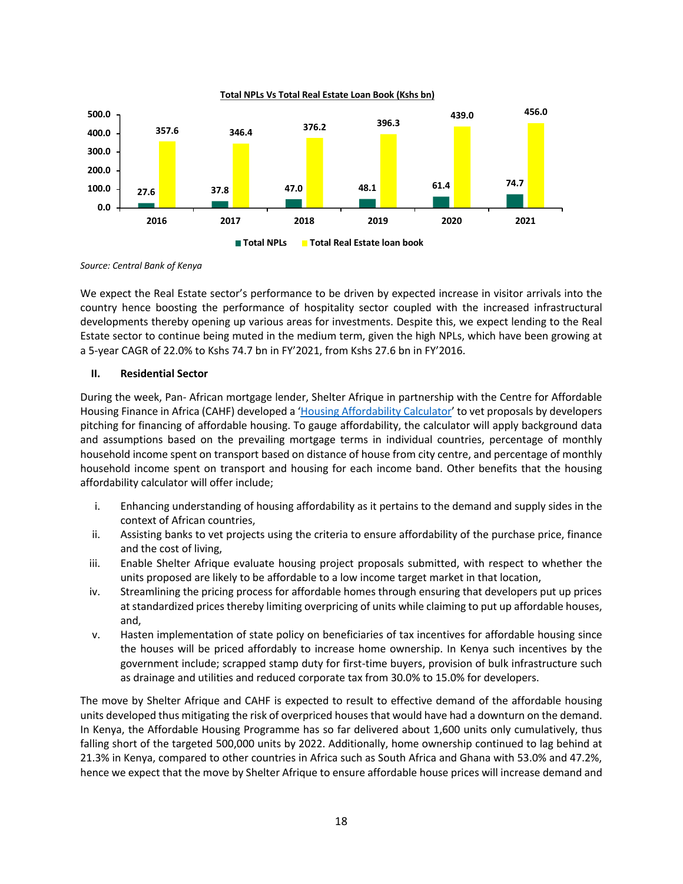

*Source: Central Bank of Kenya*

We expect the Real Estate sector's performance to be driven by expected increase in visitor arrivals into the country hence boosting the performance of hospitality sector coupled with the increased infrastructural developments thereby opening up various areas for investments. Despite this, we expect lending to the Real Estate sector to continue being muted in the medium term, given the high NPLs, which have been growing at a 5-year CAGR of 22.0% to Kshs 74.7 bn in FY'2021, from Kshs 27.6 bn in FY'2016.

#### **II. Residential Sector**

During the week, Pan- African mortgage lender, Shelter Afrique in partnership with the Centre for Affordable Housing Finance in Africa (CAHF) developed a 'Housing Affordability Calculator' to vet proposals by developers pitching for financing of affordable housing. To gauge affordability, the calculator will apply background data and assumptions based on the prevailing mortgage terms in individual countries, percentage of monthly household income spent on transport based on distance of house from city centre, and percentage of monthly household income spent on transport and housing for each income band. Other benefits that the housing affordability calculator will offer include;

- i. Enhancing understanding of housing affordability as it pertains to the demand and supply sides in the context of African countries,
- ii. Assisting banks to vet projects using the criteria to ensure affordability of the purchase price, finance and the cost of living,
- iii. Enable Shelter Afrique evaluate housing project proposals submitted, with respect to whether the units proposed are likely to be affordable to a low income target market in that location,
- iv. Streamlining the pricing process for affordable homes through ensuring that developers put up prices at standardized prices thereby limiting overpricing of units while claiming to put up affordable houses, and,
- v. Hasten implementation of state policy on beneficiaries of tax incentives for affordable housing since the houses will be priced affordably to increase home ownership. In Kenya such incentives by the government include; scrapped stamp duty for first-time buyers, provision of bulk infrastructure such as drainage and utilities and reduced corporate tax from 30.0% to 15.0% for developers.

The move by Shelter Afrique and CAHF is expected to result to effective demand of the affordable housing units developed thus mitigating the risk of overpriced houses that would have had a downturn on the demand. In Kenya, the Affordable Housing Programme has so far delivered about 1,600 units only cumulatively, thus falling short of the targeted 500,000 units by 2022. Additionally, home ownership continued to lag behind at 21.3% in Kenya, compared to other countries in Africa such as South Africa and Ghana with 53.0% and 47.2%, hence we expect that the move by Shelter Afrique to ensure affordable house prices will increase demand and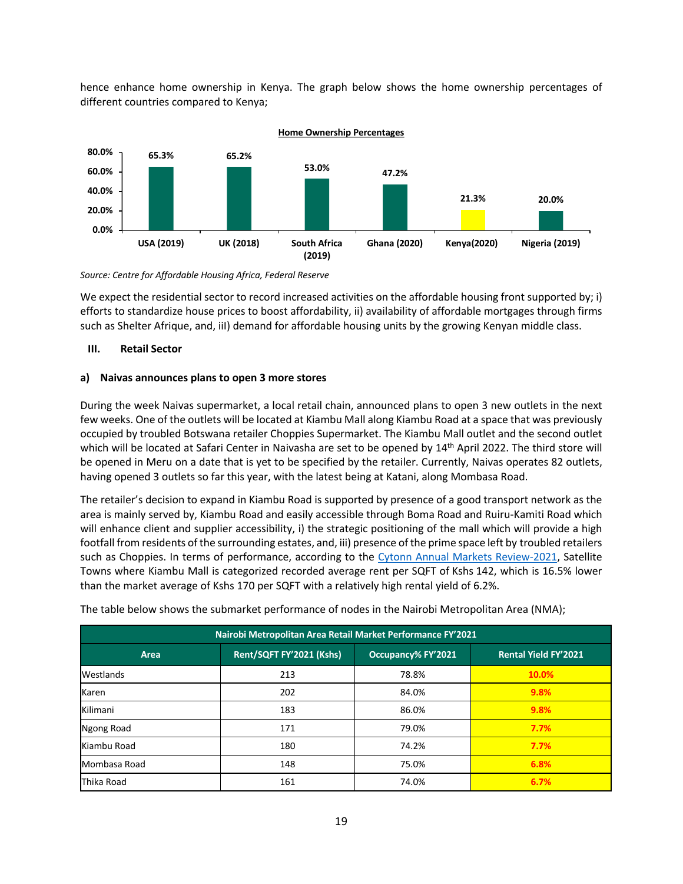hence enhance home ownership in Kenya. The graph below shows the home ownership percentages of different countries compared to Kenya;



*Source: Centre for Affordable Housing Africa, Federal Reserve* 

We expect the residential sector to record increased activities on the affordable housing front supported by; i) efforts to standardize house prices to boost affordability, ii) availability of affordable mortgages through firms such as Shelter Afrique, and, iiI) demand for affordable housing units by the growing Kenyan middle class.

### **III. Retail Sector**

## **a) Naivas announces plans to open 3 more stores**

During the week Naivas supermarket, a local retail chain, announced plans to open 3 new outlets in the next few weeks. One of the outlets will be located at Kiambu Mall along Kiambu Road at a space that was previously occupied by troubled Botswana retailer Choppies Supermarket. The Kiambu Mall outlet and the second outlet which will be located at Safari Center in Naivasha are set to be opened by 14<sup>th</sup> April 2022. The third store will be opened in Meru on a date that is yet to be specified by the retailer. Currently, Naivas operates 82 outlets, having opened 3 outlets so far this year, with the latest being at Katani, along Mombasa Road.

The retailer's decision to expand in Kiambu Road is supported by presence of a good transport network as the area is mainly served by, Kiambu Road and easily accessible through Boma Road and Ruiru-Kamiti Road which will enhance client and supplier accessibility, i) the strategic positioning of the mall which will provide a high footfall from residents of the surrounding estates, and, iii) presence of the prime space left by troubled retailers such as Choppies. In terms of performance, according to the Cytonn Annual Markets Review-2021, Satellite Towns where Kiambu Mall is categorized recorded average rent per SQFT of Kshs 142, which is 16.5% lower than the market average of Kshs 170 per SQFT with a relatively high rental yield of 6.2%.

| Nairobi Metropolitan Area Retail Market Performance FY'2021 |                          |                           |                             |  |  |  |  |  |  |
|-------------------------------------------------------------|--------------------------|---------------------------|-----------------------------|--|--|--|--|--|--|
| Area                                                        | Rent/SQFT FY'2021 (Kshs) | <b>Occupancy% FY'2021</b> | <b>Rental Yield FY'2021</b> |  |  |  |  |  |  |
| Westlands                                                   | 213                      | 78.8%                     | 10.0%                       |  |  |  |  |  |  |
| Karen                                                       | 202                      | 84.0%                     | 9.8%                        |  |  |  |  |  |  |
| Kilimani                                                    | 183                      | 86.0%                     | 9.8%                        |  |  |  |  |  |  |
| Ngong Road                                                  | 171                      | 79.0%                     | 7.7%                        |  |  |  |  |  |  |
| Kiambu Road                                                 | 180                      | 74.2%                     | 7.7%                        |  |  |  |  |  |  |
| Mombasa Road                                                | 148                      | 75.0%                     | 6.8%                        |  |  |  |  |  |  |
| Thika Road                                                  | 161                      | 74.0%                     | 6.7%                        |  |  |  |  |  |  |

The table below shows the submarket performance of nodes in the Nairobi Metropolitan Area (NMA);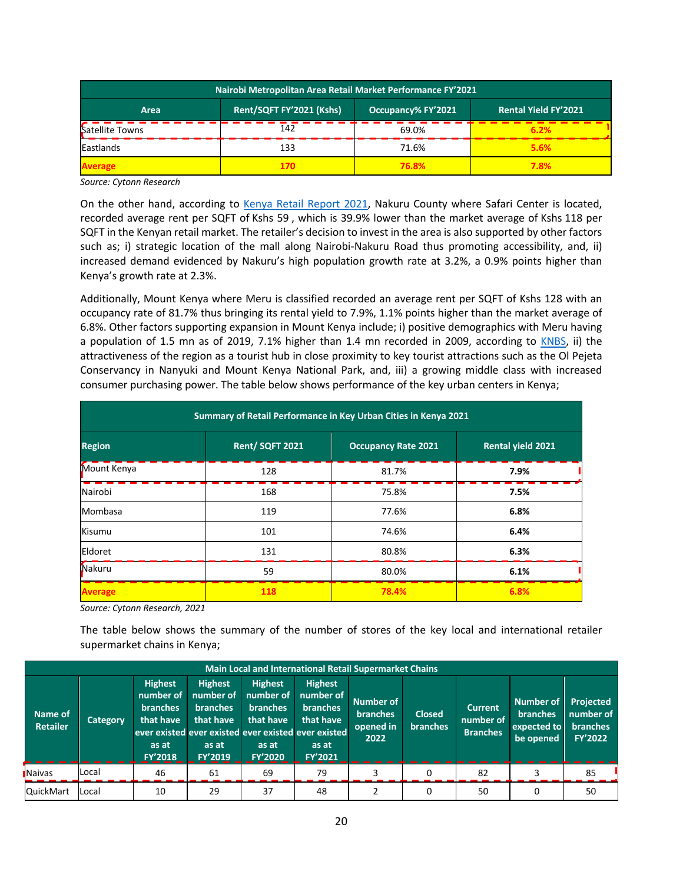| Nairobi Metropolitan Area Retail Market Performance FY'2021                           |      |       |      |  |  |  |  |  |  |  |
|---------------------------------------------------------------------------------------|------|-------|------|--|--|--|--|--|--|--|
| Rent/SQFT FY'2021 (Kshs)<br>Occupancy% FY'2021<br><b>Rental Yield FY'2021</b><br>Area |      |       |      |  |  |  |  |  |  |  |
| Satellite Towns                                                                       | 142  | 69.0% | 6.2% |  |  |  |  |  |  |  |
| Eastlands                                                                             | 133  | 71.6% | 5.6% |  |  |  |  |  |  |  |
| Average                                                                               | 170. | 76.8% | 7.8% |  |  |  |  |  |  |  |

*Source: Cytonn Research* 

On the other hand, according to Kenya Retail Report 2021, Nakuru County where Safari Center is located, recorded average rent per SQFT of Kshs 59 , which is 39.9% lower than the market average of Kshs 118 per SQFT in the Kenyan retail market. The retailer's decision to invest in the area is also supported by other factors such as; i) strategic location of the mall along Nairobi-Nakuru Road thus promoting accessibility, and, ii) increased demand evidenced by Nakuru's high population growth rate at 3.2%, a 0.9% points higher than Kenya's growth rate at 2.3%.

Additionally, Mount Kenya where Meru is classified recorded an average rent per SQFT of Kshs 128 with an occupancy rate of 81.7% thus bringing its rental yield to 7.9%, 1.1% points higher than the market average of 6.8%. Other factors supporting expansion in Mount Kenya include; i) positive demographics with Meru having a population of 1.5 mn as of 2019, 7.1% higher than 1.4 mn recorded in 2009, according to KNBS, ii) the attractiveness of the region as a tourist hub in close proximity to key tourist attractions such as the Ol Pejeta Conservancy in Nanyuki and Mount Kenya National Park, and, iii) a growing middle class with increased consumer purchasing power. The table below shows performance of the key urban centers in Kenya;

| Summary of Retail Performance in Key Urban Cities in Kenya 2021 |                |                            |                          |  |  |  |  |  |  |
|-----------------------------------------------------------------|----------------|----------------------------|--------------------------|--|--|--|--|--|--|
| <b>Region</b>                                                   | Rent/SQFT 2021 | <b>Occupancy Rate 2021</b> | <b>Rental vield 2021</b> |  |  |  |  |  |  |
| Mount Kenya                                                     | 128            | 81.7%                      | 7.9%                     |  |  |  |  |  |  |
| Nairobi                                                         | 168            | 75.8%                      | 7.5%                     |  |  |  |  |  |  |
| Mombasa                                                         | 119            | 77.6%                      | 6.8%                     |  |  |  |  |  |  |
| Kisumu                                                          | 101            | 74.6%                      | 6.4%                     |  |  |  |  |  |  |
| Eldoret                                                         | 131            | 80.8%                      | 6.3%                     |  |  |  |  |  |  |
| Nakuru                                                          | 59             | 80.0%                      | 6.1%                     |  |  |  |  |  |  |
| <b>Average</b>                                                  | 118            | 78.4%                      | 6.8%                     |  |  |  |  |  |  |

*Source: Cytonn Research, 2021*

The table below shows the summary of the number of stores of the key local and international retailer supermarket chains in Kenya;

|                            | <b>Main Local and International Retail Supermarket Chains</b> |                                                                                        |                                                                                 |                                                                                        |                                                                                                                                        |                                                   |                                  |                                                |                                                                 |                                                                    |  |  |
|----------------------------|---------------------------------------------------------------|----------------------------------------------------------------------------------------|---------------------------------------------------------------------------------|----------------------------------------------------------------------------------------|----------------------------------------------------------------------------------------------------------------------------------------|---------------------------------------------------|----------------------------------|------------------------------------------------|-----------------------------------------------------------------|--------------------------------------------------------------------|--|--|
| Name of<br><b>Retailer</b> | Category                                                      | <b>Highest</b><br>number of<br><b>branches</b><br>that have<br>as at<br><b>FY'2018</b> | <b>Highest</b><br>number of<br><b>branches</b><br>that have<br>as at<br>FY'2019 | <b>Highest</b><br>number of<br><b>branches</b><br>that have<br>as at<br><b>FY'2020</b> | <b>Highest</b><br>number of<br><b>branches</b><br>that have<br>ever existed ever existed ever existed ever existed<br>as at<br>FY'2021 | Number of<br><b>branches</b><br>opened in<br>2022 | <b>Closed</b><br><b>branches</b> | <b>Current</b><br>number of<br><b>Branches</b> | <b>Number of</b><br><b>branches</b><br>expected to<br>be opened | <b>Projected</b><br>number of<br><b>branches</b><br><b>FY'2022</b> |  |  |
| <b>Naivas</b>              | Local                                                         | 46                                                                                     | 61                                                                              | 69                                                                                     | 79                                                                                                                                     |                                                   |                                  | 82                                             |                                                                 | 85                                                                 |  |  |
| <b>QuickMart</b>           | <b>Local</b>                                                  | 10                                                                                     | 29                                                                              | 37                                                                                     | 48                                                                                                                                     |                                                   |                                  | 50                                             |                                                                 | 50                                                                 |  |  |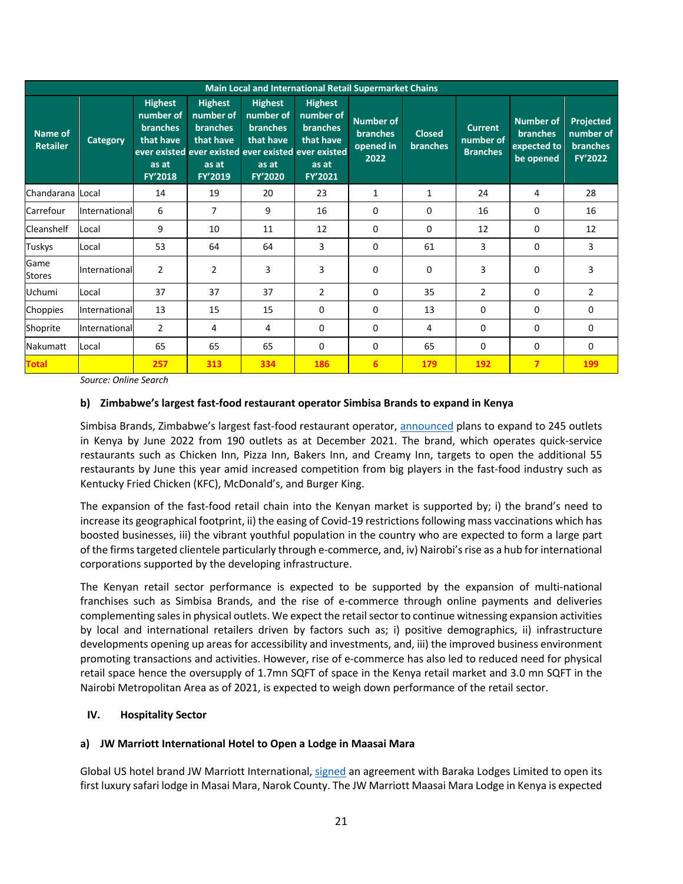|                            | Main Local and International Retail Supermarket Chains |                                                                                        |                                                                                                                                        |                                                                                        |                                                                                 |                                                          |                                  |                                                |                                                          |                                                      |  |  |  |
|----------------------------|--------------------------------------------------------|----------------------------------------------------------------------------------------|----------------------------------------------------------------------------------------------------------------------------------------|----------------------------------------------------------------------------------------|---------------------------------------------------------------------------------|----------------------------------------------------------|----------------------------------|------------------------------------------------|----------------------------------------------------------|------------------------------------------------------|--|--|--|
| Name of<br><b>Retailer</b> | <b>Category</b>                                        | <b>Highest</b><br>number of<br><b>branches</b><br>that have<br>as at<br><b>FY'2018</b> | <b>Highest</b><br>number of<br><b>branches</b><br>that have<br>ever existed ever existed ever existed ever existed<br>as at<br>FY'2019 | <b>Highest</b><br>number of<br><b>branches</b><br>that have<br>as at<br><b>FY'2020</b> | <b>Highest</b><br>number of<br><b>branches</b><br>that have<br>as at<br>FY'2021 | <b>Number of</b><br><b>branches</b><br>opened in<br>2022 | <b>Closed</b><br><b>branches</b> | <b>Current</b><br>number of<br><b>Branches</b> | Number of<br><b>branches</b><br>expected to<br>be opened | Projected<br>number of<br><b>branches</b><br>FY'2022 |  |  |  |
| Chandarana Local           |                                                        | 14                                                                                     | 19                                                                                                                                     | 20                                                                                     | 23                                                                              | 1                                                        | 1                                | 24                                             | 4                                                        | 28                                                   |  |  |  |
| Carrefour                  | International                                          | 6                                                                                      | $\overline{7}$                                                                                                                         | 9                                                                                      | 16                                                                              | 0                                                        | 0                                | 16                                             | 0                                                        | 16                                                   |  |  |  |
| Cleanshelf                 | Local                                                  | 9                                                                                      | 10                                                                                                                                     | 11                                                                                     | 12                                                                              | $\Omega$                                                 | 0                                | 12                                             | $\Omega$                                                 | 12                                                   |  |  |  |
| Tuskys                     | Local                                                  | 53                                                                                     | 64                                                                                                                                     | 64                                                                                     | 3                                                                               | 0                                                        | 61                               | 3                                              | 0                                                        | 3                                                    |  |  |  |
| Game<br><b>Stores</b>      | International                                          | $\overline{2}$                                                                         | $\overline{2}$                                                                                                                         | 3                                                                                      | 3                                                                               | 0                                                        | 0                                | 3                                              | $\Omega$                                                 | 3                                                    |  |  |  |
| Uchumi                     | Local                                                  | 37                                                                                     | 37                                                                                                                                     | 37                                                                                     | 2                                                                               | $\Omega$                                                 | 35                               | $\overline{2}$                                 | $\Omega$                                                 | $\overline{2}$                                       |  |  |  |
| Choppies                   | International                                          | 13                                                                                     | 15                                                                                                                                     | 15                                                                                     | $\Omega$                                                                        | $\Omega$                                                 | 13                               | 0                                              | $\Omega$                                                 | 0                                                    |  |  |  |
| Shoprite                   | International                                          | $\overline{2}$                                                                         | 4                                                                                                                                      | 4                                                                                      | 0                                                                               | 0                                                        | 4                                | 0                                              | 0                                                        | 0                                                    |  |  |  |
| Nakumatt                   | Local                                                  | 65                                                                                     | 65                                                                                                                                     | 65                                                                                     | $\Omega$                                                                        | 0                                                        | 65                               | 0                                              | 0                                                        | $\Omega$                                             |  |  |  |
| <b>Total</b>               |                                                        | 257                                                                                    | 313                                                                                                                                    | 334                                                                                    | 186                                                                             | 6                                                        | 179                              | 192                                            | $\overline{7}$                                           | 199                                                  |  |  |  |

*Source: Online Search*

### **b) Zimbabwe's largest fast-food restaurant operator Simbisa Brands to expand in Kenya**

Simbisa Brands, Zimbabwe's largest fast-food restaurant operator, announced plans to expand to 245 outlets in Kenya by June 2022 from 190 outlets as at December 2021. The brand, which operates quick-service restaurants such as Chicken Inn, Pizza Inn, Bakers Inn, and Creamy Inn, targets to open the additional 55 restaurants by June this year amid increased competition from big players in the fast-food industry such as Kentucky Fried Chicken (KFC), McDonald's, and Burger King.

The expansion of the fast-food retail chain into the Kenyan market is supported by; i) the brand's need to increase its geographical footprint, ii) the easing of Covid-19 restrictions following mass vaccinations which has boosted businesses, iii) the vibrant youthful population in the country who are expected to form a large part of the firms targeted clientele particularly through e-commerce, and, iv) Nairobi's rise as a hub for international corporations supported by the developing infrastructure.

The Kenyan retail sector performance is expected to be supported by the expansion of multi-national franchises such as Simbisa Brands, and the rise of e-commerce through online payments and deliveries complementing sales in physical outlets. We expect the retail sector to continue witnessing expansion activities by local and international retailers driven by factors such as; i) positive demographics, ii) infrastructure developments opening up areas for accessibility and investments, and, iii) the improved business environment promoting transactions and activities. However, rise of e-commerce has also led to reduced need for physical retail space hence the oversupply of 1.7mn SQFT of space in the Kenya retail market and 3.0 mn SQFT in the Nairobi Metropolitan Area as of 2021, is expected to weigh down performance of the retail sector.

### **IV. Hospitality Sector**

### **a) JW Marriott International Hotel to Open a Lodge in Maasai Mara**

Global US hotel brand JW Marriott International, signed an agreement with Baraka Lodges Limited to open its first luxury safari lodge in Masai Mara, Narok County. The JW Marriott Maasai Mara Lodge in Kenya is expected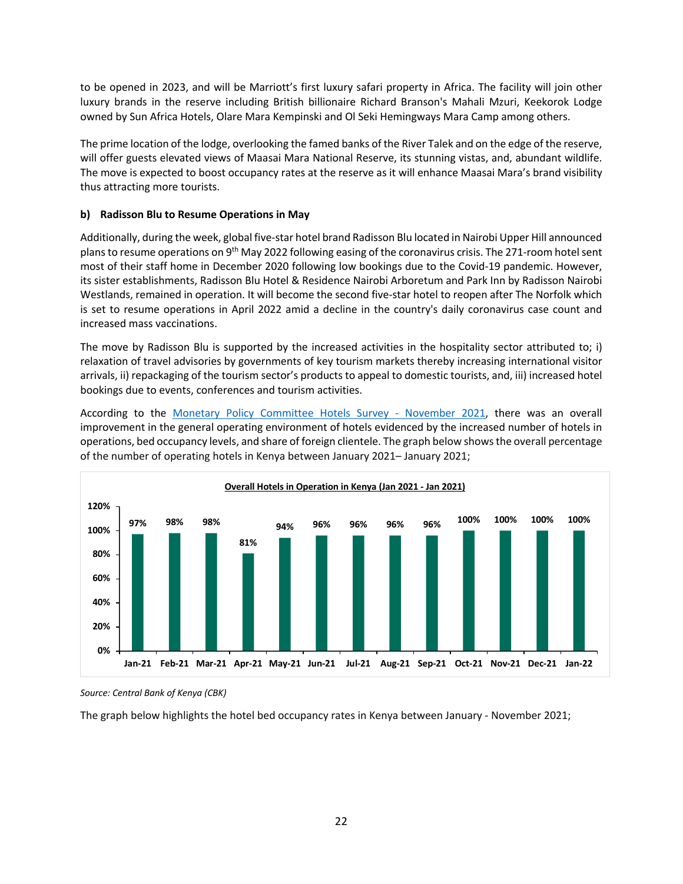to be opened in 2023, and will be Marriott's first luxury safari property in Africa. The facility will join other luxury brands in the reserve including British billionaire Richard Branson's Mahali Mzuri, Keekorok Lodge owned by Sun Africa Hotels, Olare Mara Kempinski and Ol Seki Hemingways Mara Camp among others.

The prime location of the lodge, overlooking the famed banks of the River Talek and on the edge of the reserve, will offer guests elevated views of Maasai Mara National Reserve, its stunning vistas, and, abundant wildlife. The move is expected to boost occupancy rates at the reserve as it will enhance Maasai Mara's brand visibility thus attracting more tourists.

## **b) Radisson Blu to Resume Operations in May**

Additionally, during the week, global five-star hotel brand Radisson Blu located in Nairobi Upper Hill announced plans to resume operations on 9th May 2022 following easing of the coronavirus crisis. The 271-room hotel sent most of their staff home in December 2020 following low bookings due to the Covid-19 pandemic. However, its sister establishments, Radisson Blu Hotel & Residence Nairobi Arboretum and Park Inn by Radisson Nairobi Westlands, remained in operation. It will become the second five-star hotel to reopen after The Norfolk which is set to resume operations in April 2022 amid a decline in the country's daily coronavirus case count and increased mass vaccinations.

The move by Radisson Blu is supported by the increased activities in the hospitality sector attributed to; i) relaxation of travel advisories by governments of key tourism markets thereby increasing international visitor arrivals, ii) repackaging of the tourism sector's products to appeal to domestic tourists, and, iii) increased hotel bookings due to events, conferences and tourism activities.

According to the Monetary Policy Committee Hotels Survey - November 2021, there was an overall improvement in the general operating environment of hotels evidenced by the increased number of hotels in operations, bed occupancy levels, and share of foreign clientele. The graph below shows the overall percentage of the number of operating hotels in Kenya between January 2021– January 2021;



*Source: Central Bank of Kenya (CBK)*

The graph below highlights the hotel bed occupancy rates in Kenya between January - November 2021;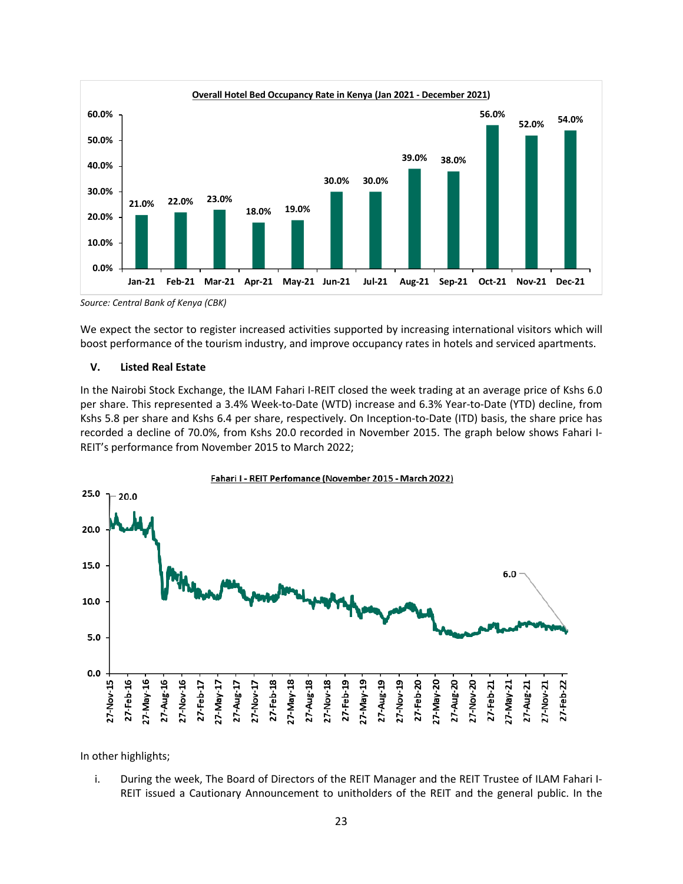

*Source: Central Bank of Kenya (CBK)*

We expect the sector to register increased activities supported by increasing international visitors which will boost performance of the tourism industry, and improve occupancy rates in hotels and serviced apartments.

### **V. Listed Real Estate**

In the Nairobi Stock Exchange, the ILAM Fahari I-REIT closed the week trading at an average price of Kshs 6.0 per share. This represented a 3.4% Week-to-Date (WTD) increase and 6.3% Year-to-Date (YTD) decline, from Kshs 5.8 per share and Kshs 6.4 per share, respectively. On Inception-to-Date (ITD) basis, the share price has recorded a decline of 70.0%, from Kshs 20.0 recorded in November 2015. The graph below shows Fahari I-REIT's performance from November 2015 to March 2022;



In other highlights;

i. During the week, The Board of Directors of the REIT Manager and the REIT Trustee of ILAM Fahari I-REIT issued a Cautionary Announcement to unitholders of the REIT and the general public. In the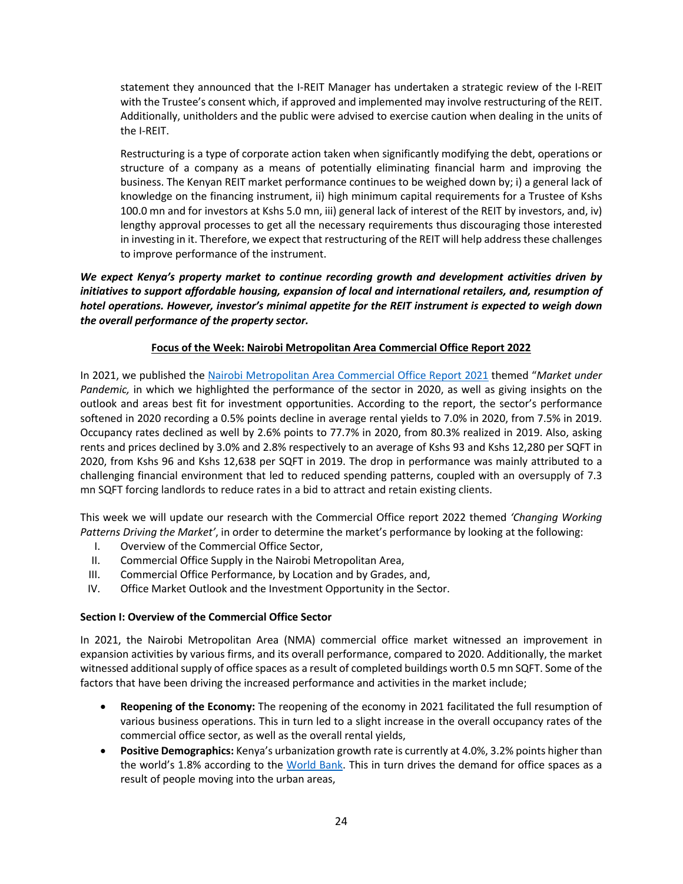statement they announced that the I-REIT Manager has undertaken a strategic review of the I-REIT with the Trustee's consent which, if approved and implemented may involve restructuring of the REIT. Additionally, unitholders and the public were advised to exercise caution when dealing in the units of the I-REIT.

Restructuring is a type of corporate action taken when significantly modifying the debt, operations or structure of a company as a means of potentially eliminating financial harm and improving the business. The Kenyan REIT market performance continues to be weighed down by; i) a general lack of knowledge on the financing instrument, ii) high minimum capital requirements for a Trustee of Kshs 100.0 mn and for investors at Kshs 5.0 mn, iii) general lack of interest of the REIT by investors, and, iv) lengthy approval processes to get all the necessary requirements thus discouraging those interested in investing in it. Therefore, we expect that restructuring of the REIT will help address these challenges to improve performance of the instrument.

*We expect Kenya's property market to continue recording growth and development activities driven by initiatives to support affordable housing, expansion of local and international retailers, and, resumption of hotel operations. However, investor's minimal appetite for the REIT instrument is expected to weigh down the overall performance of the property sector.*

## **Focus of the Week: Nairobi Metropolitan Area Commercial Office Report 2022**

In 2021, we published the Nairobi Metropolitan Area Commercial Office Report 2021 themed "*Market under Pandemic,* in which we highlighted the performance of the sector in 2020, as well as giving insights on the outlook and areas best fit for investment opportunities. According to the report, the sector's performance softened in 2020 recording a 0.5% points decline in average rental yields to 7.0% in 2020, from 7.5% in 2019. Occupancy rates declined as well by 2.6% points to 77.7% in 2020, from 80.3% realized in 2019. Also, asking rents and prices declined by 3.0% and 2.8% respectively to an average of Kshs 93 and Kshs 12,280 per SQFT in 2020, from Kshs 96 and Kshs 12,638 per SQFT in 2019. The drop in performance was mainly attributed to a challenging financial environment that led to reduced spending patterns, coupled with an oversupply of 7.3 mn SQFT forcing landlords to reduce rates in a bid to attract and retain existing clients.

This week we will update our research with the Commercial Office report 2022 themed *'Changing Working Patterns Driving the Market'*, in order to determine the market's performance by looking at the following:

- I. Overview of the Commercial Office Sector,
- II. Commercial Office Supply in the Nairobi Metropolitan Area,
- III. Commercial Office Performance, by Location and by Grades, and,
- IV. Office Market Outlook and the Investment Opportunity in the Sector.

## **Section I: Overview of the Commercial Office Sector**

In 2021, the Nairobi Metropolitan Area (NMA) commercial office market witnessed an improvement in expansion activities by various firms, and its overall performance, compared to 2020. Additionally, the market witnessed additional supply of office spaces as a result of completed buildings worth 0.5 mn SQFT. Some of the factors that have been driving the increased performance and activities in the market include;

- **Reopening of the Economy:** The reopening of the economy in 2021 facilitated the full resumption of various business operations. This in turn led to a slight increase in the overall occupancy rates of the commercial office sector, as well as the overall rental yields,
- **Positive Demographics:** Kenya's urbanization growth rate is currently at 4.0%, 3.2% points higher than the world's 1.8% according to the World Bank. This in turn drives the demand for office spaces as a result of people moving into the urban areas,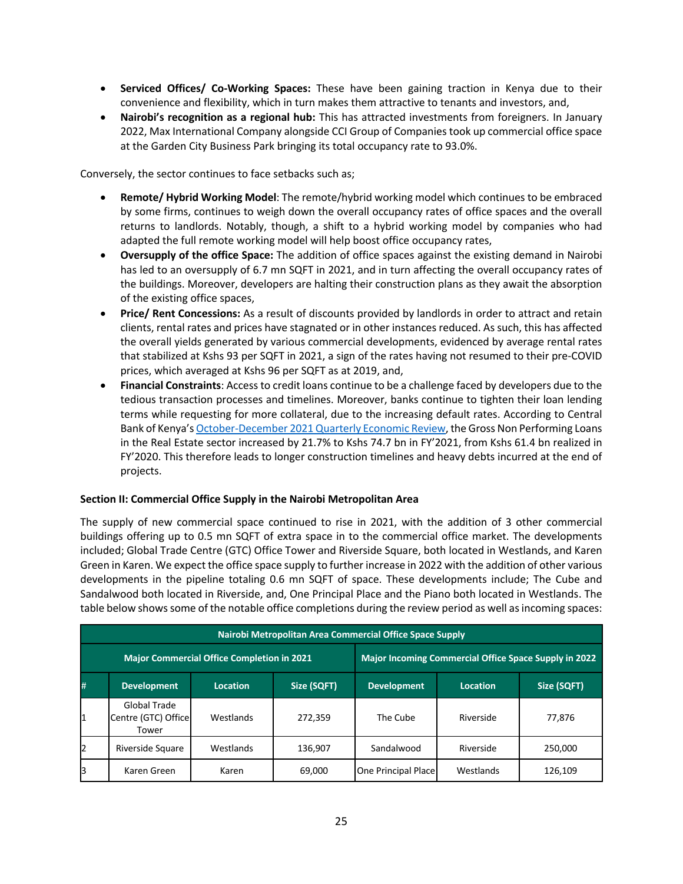- **Serviced Offices/ Co-Working Spaces:** These have been gaining traction in Kenya due to their convenience and flexibility, which in turn makes them attractive to tenants and investors, and,
- **Nairobi's recognition as a regional hub:** This has attracted investments from foreigners. In January 2022, Max International Company alongside CCI Group of Companies took up commercial office space at the Garden City Business Park bringing its total occupancy rate to 93.0%.

Conversely, the sector continues to face setbacks such as;

- **Remote/ Hybrid Working Model**: The remote/hybrid working model which continues to be embraced by some firms, continues to weigh down the overall occupancy rates of office spaces and the overall returns to landlords. Notably, though, a shift to a hybrid working model by companies who had adapted the full remote working model will help boost office occupancy rates,
- **Oversupply of the office Space:** The addition of office spaces against the existing demand in Nairobi has led to an oversupply of 6.7 mn SQFT in 2021, and in turn affecting the overall occupancy rates of the buildings. Moreover, developers are halting their construction plans as they await the absorption of the existing office spaces,
- **Price/ Rent Concessions:** As a result of discounts provided by landlords in order to attract and retain clients, rental rates and prices have stagnated or in other instances reduced. As such, this has affected the overall yields generated by various commercial developments, evidenced by average rental rates that stabilized at Kshs 93 per SQFT in 2021, a sign of the rates having not resumed to their pre-COVID prices, which averaged at Kshs 96 per SQFT as at 2019, and,
- **Financial Constraints**: Access to credit loans continue to be a challenge faced by developers due to the tedious transaction processes and timelines. Moreover, banks continue to tighten their loan lending terms while requesting for more collateral, due to the increasing default rates. According to Central Bank of Kenya's October-December 2021 Quarterly Economic Review, the Gross Non Performing Loans in the Real Estate sector increased by 21.7% to Kshs 74.7 bn in FY'2021, from Kshs 61.4 bn realized in FY'2020. This therefore leads to longer construction timelines and heavy debts incurred at the end of projects.

## **Section II: Commercial Office Supply in the Nairobi Metropolitan Area**

The supply of new commercial space continued to rise in 2021, with the addition of 3 other commercial buildings offering up to 0.5 mn SQFT of extra space in to the commercial office market. The developments included; Global Trade Centre (GTC) Office Tower and Riverside Square, both located in Westlands, and Karen Green in Karen. We expect the office space supply to further increase in 2022 with the addition of other various developments in the pipeline totaling 0.6 mn SQFT of space. These developments include; The Cube and Sandalwood both located in Riverside, and, One Principal Place and the Piano both located in Westlands. The table below shows some of the notable office completions during the review period as well as incoming spaces:

|                                                                                                     | Nairobi Metropolitan Area Commercial Office Space Supply |                                                   |         |                                                              |           |         |  |  |  |  |  |  |
|-----------------------------------------------------------------------------------------------------|----------------------------------------------------------|---------------------------------------------------|---------|--------------------------------------------------------------|-----------|---------|--|--|--|--|--|--|
|                                                                                                     |                                                          | <b>Major Commercial Office Completion in 2021</b> |         | <b>Major Incoming Commercial Office Space Supply in 2022</b> |           |         |  |  |  |  |  |  |
| #<br>Size (SQFT)<br>Size (SQFT)<br><b>Development</b><br><b>Development</b><br>Location<br>Location |                                                          |                                                   |         |                                                              |           |         |  |  |  |  |  |  |
| 1                                                                                                   | Global Trade<br>Centre (GTC) Office<br>Tower             | Westlands                                         | 272,359 | The Cube                                                     | Riverside | 77,876  |  |  |  |  |  |  |
| 2                                                                                                   | Riverside Square                                         | Westlands                                         | 136,907 | Sandalwood                                                   | Riverside | 250.000 |  |  |  |  |  |  |
| B                                                                                                   | Karen Green                                              | Karen                                             | 69,000  | One Principal Place                                          | Westlands | 126.109 |  |  |  |  |  |  |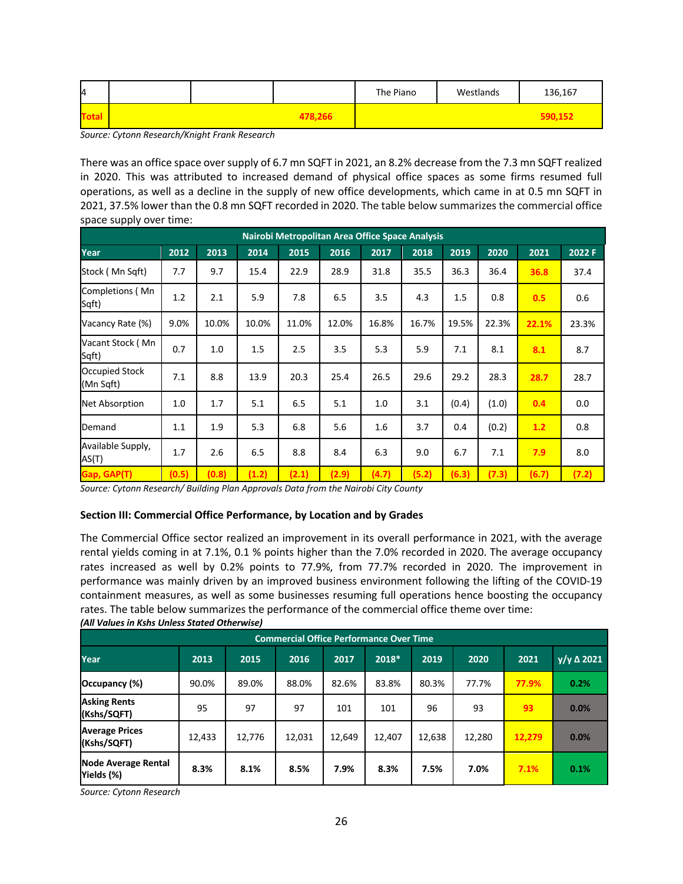| 14 |  |         | The Piano | Westlands | 136,167 |
|----|--|---------|-----------|-----------|---------|
|    |  | 478,266 |           |           | 590,152 |

*Source: Cytonn Research/Knight Frank Research*

There was an office space over supply of 6.7 mn SQFT in 2021, an 8.2% decrease from the 7.3 mn SQFT realized in 2020. This was attributed to increased demand of physical office spaces as some firms resumed full operations, as well as a decline in the supply of new office developments, which came in at 0.5 mn SQFT in 2021, 37.5% lower than the 0.8 mn SQFT recorded in 2020. The table below summarizes the commercial office space supply over time:

|                             | Nairobi Metropolitan Area Office Space Analysis |       |       |       |       |       |       |       |       |       |        |  |
|-----------------------------|-------------------------------------------------|-------|-------|-------|-------|-------|-------|-------|-------|-------|--------|--|
| Year                        | 2012                                            | 2013  | 2014  | 2015  | 2016  | 2017  | 2018  | 2019  | 2020  | 2021  | 2022 F |  |
| Stock (Mn Sgft)             | 7.7                                             | 9.7   | 15.4  | 22.9  | 28.9  | 31.8  | 35.5  | 36.3  | 36.4  | 36.8  | 37.4   |  |
| Completions (Mn<br>Sqft)    | 1.2                                             | 2.1   | 5.9   | 7.8   | 6.5   | 3.5   | 4.3   | 1.5   | 0.8   | 0.5   | 0.6    |  |
| Vacancy Rate (%)            | 9.0%                                            | 10.0% | 10.0% | 11.0% | 12.0% | 16.8% | 16.7% | 19.5% | 22.3% | 22.1% | 23.3%  |  |
| Vacant Stock (Mn<br>Sqft)   | 0.7                                             | 1.0   | 1.5   | 2.5   | 3.5   | 5.3   | 5.9   | 7.1   | 8.1   | 8.1   | 8.7    |  |
| Occupied Stock<br>(Mn Sqft) | 7.1                                             | 8.8   | 13.9  | 20.3  | 25.4  | 26.5  | 29.6  | 29.2  | 28.3  | 28.7  | 28.7   |  |
| Net Absorption              | 1.0                                             | 1.7   | 5.1   | 6.5   | 5.1   | 1.0   | 3.1   | (0.4) | (1.0) | 0.4   | 0.0    |  |
| Demand                      | 1.1                                             | 1.9   | 5.3   | 6.8   | 5.6   | 1.6   | 3.7   | 0.4   | (0.2) | 1.2   | 0.8    |  |
| Available Supply,<br>AS(T)  | 1.7                                             | 2.6   | 6.5   | 8.8   | 8.4   | 6.3   | 9.0   | 6.7   | 7.1   | 7.9   | 8.0    |  |
| Gap, GAP(T)                 | (0.5)                                           | (0.8) | (1.2) | (2.1) | (2.9) | (4.7) | (5.2) | (6.3) | (7.3) | (6.7) | (7.2)  |  |

*Source: Cytonn Research/ Building Plan Approvals Data from the Nairobi City County*

### **Section III: Commercial Office Performance, by Location and by Grades**

The Commercial Office sector realized an improvement in its overall performance in 2021, with the average rental yields coming in at 7.1%, 0.1 % points higher than the 7.0% recorded in 2020. The average occupancy rates increased as well by 0.2% points to 77.9%, from 77.7% recorded in 2020. The improvement in performance was mainly driven by an improved business environment following the lifting of the COVID-19 containment measures, as well as some businesses resuming full operations hence boosting the occupancy rates. The table below summarizes the performance of the commercial office theme over time: *(All Values in Kshs Unless Stated Otherwise)*

|                                          | <b>Commercial Office Performance Over Time</b> |        |        |        |        |        |        |        |                                |  |  |  |
|------------------------------------------|------------------------------------------------|--------|--------|--------|--------|--------|--------|--------|--------------------------------|--|--|--|
| Year                                     | 2013                                           | 2015   | 2016   | 2017   | 2018*  | 2019   | 2020   | 2021   | $\overline{y/y}$ $\Delta$ 2021 |  |  |  |
| Occupancy (%)                            | 90.0%                                          | 89.0%  | 88.0%  | 82.6%  | 83.8%  | 80.3%  | 77.7%  | 77.9%  | 0.2%                           |  |  |  |
| <b>Asking Rents</b><br>(Kshs/SQFT)       | 95                                             | 97     | 97     | 101    | 101    | 96     | 93     | 93     | 0.0%                           |  |  |  |
| <b>Average Prices</b><br>(Kshs/SQFT)     | 12,433                                         | 12,776 | 12,031 | 12,649 | 12,407 | 12,638 | 12,280 | 12,279 | 0.0%                           |  |  |  |
| <b>Node Average Rental</b><br>Yields (%) | 8.3%                                           | 8.1%   | 8.5%   | 7.9%   | 8.3%   | 7.5%   | 7.0%   | 7.1%   | 0.1%                           |  |  |  |

*Source: Cytonn Research*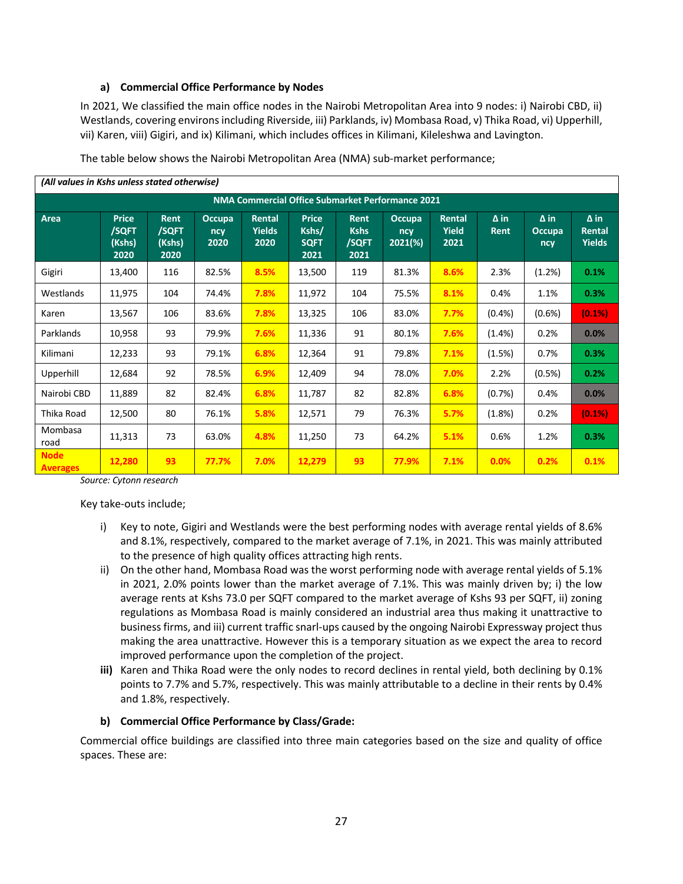## **a) Commercial Office Performance by Nodes**

In 2021, We classified the main office nodes in the Nairobi Metropolitan Area into 9 nodes: i) Nairobi CBD, ii) Westlands, covering environs including Riverside, iii) Parklands, iv) Mombasa Road, v) Thika Road, vi) Upperhill, vii) Karen, viii) Gigiri, and ix) Kilimani, which includes offices in Kilimani, Kileleshwa and Lavington.

| (All values in Kshs unless stated otherwise) |                                                  |                                 |                              |                                 |                                              |                                             |                                    |                         |                            |                                     |                                        |  |
|----------------------------------------------|--------------------------------------------------|---------------------------------|------------------------------|---------------------------------|----------------------------------------------|---------------------------------------------|------------------------------------|-------------------------|----------------------------|-------------------------------------|----------------------------------------|--|
|                                              | NMA Commercial Office Submarket Performance 2021 |                                 |                              |                                 |                                              |                                             |                                    |                         |                            |                                     |                                        |  |
| Area                                         | <b>Price</b><br>/SQFT<br>(Kshs)<br>2020          | Rent<br>/SQFT<br>(Kshs)<br>2020 | <b>Occupa</b><br>ncy<br>2020 | Rental<br><b>Yields</b><br>2020 | <b>Price</b><br>Kshs/<br><b>SQFT</b><br>2021 | <b>Rent</b><br><b>Kshs</b><br>/SQFT<br>2021 | <b>Occupa</b><br>ncy<br>$2021(\%)$ | Rental<br>Yield<br>2021 | $\Delta$ in<br><b>Rent</b> | $\Delta$ in<br><b>Occupa</b><br>ncy | $\Delta$ in<br>Rental<br><b>Yields</b> |  |
| Gigiri                                       | 13,400                                           | 116                             | 82.5%                        | 8.5%                            | 13,500                                       | 119                                         | 81.3%                              | 8.6%                    | 2.3%                       | (1.2%)                              | 0.1%                                   |  |
| Westlands                                    | 11,975                                           | 104                             | 74.4%                        | 7.8%                            | 11,972                                       | 104                                         | 75.5%                              | 8.1%                    | 0.4%                       | 1.1%                                | 0.3%                                   |  |
| Karen                                        | 13,567                                           | 106                             | 83.6%                        | 7.8%                            | 13,325                                       | 106                                         | 83.0%                              | 7.7%                    | (0.4% )                    | $(0.6\%)$                           | (0.1%)                                 |  |
| Parklands                                    | 10,958                                           | 93                              | 79.9%                        | 7.6%                            | 11,336                                       | 91                                          | 80.1%                              | 7.6%                    | $(1.4\%)$                  | 0.2%                                | 0.0%                                   |  |
| Kilimani                                     | 12,233                                           | 93                              | 79.1%                        | 6.8%                            | 12,364                                       | 91                                          | 79.8%                              | 7.1%                    | (1.5%)                     | 0.7%                                | 0.3%                                   |  |
| Upperhill                                    | 12,684                                           | 92                              | 78.5%                        | 6.9%                            | 12,409                                       | 94                                          | 78.0%                              | 7.0%                    | 2.2%                       | (0.5%)                              | 0.2%                                   |  |
| Nairobi CBD                                  | 11,889                                           | 82                              | 82.4%                        | 6.8%                            | 11,787                                       | 82                                          | 82.8%                              | 6.8%                    | (0.7%)                     | 0.4%                                | 0.0%                                   |  |
| Thika Road                                   | 12,500                                           | 80                              | 76.1%                        | 5.8%                            | 12,571                                       | 79                                          | 76.3%                              | 5.7%                    | (1.8%)                     | 0.2%                                | (0.1%)                                 |  |
| Mombasa<br>road                              | 11,313                                           | 73                              | 63.0%                        | 4.8%                            | 11,250                                       | 73                                          | 64.2%                              | 5.1%                    | 0.6%                       | 1.2%                                | 0.3%                                   |  |
| <b>Node</b><br><b>Averages</b>               | 12,280                                           | 93                              | 77.7%                        | 7.0%                            | 12,279                                       | 93                                          | 77.9%                              | 7.1%                    | 0.0%                       | 0.2%                                | 0.1%                                   |  |

The table below shows the Nairobi Metropolitan Area (NMA) sub-market performance;

*Source: Cytonn research*

Key take-outs include;

- i) Key to note, Gigiri and Westlands were the best performing nodes with average rental yields of 8.6% and 8.1%, respectively, compared to the market average of 7.1%, in 2021. This was mainly attributed to the presence of high quality offices attracting high rents.
- ii) On the other hand, Mombasa Road was the worst performing node with average rental yields of 5.1% in 2021, 2.0% points lower than the market average of 7.1%. This was mainly driven by; i) the low average rents at Kshs 73.0 per SQFT compared to the market average of Kshs 93 per SQFT, ii) zoning regulations as Mombasa Road is mainly considered an industrial area thus making it unattractive to business firms, and iii) current traffic snarl-ups caused by the ongoing Nairobi Expressway project thus making the area unattractive. However this is a temporary situation as we expect the area to record improved performance upon the completion of the project.
- **iii)** Karen and Thika Road were the only nodes to record declines in rental yield, both declining by 0.1% points to 7.7% and 5.7%, respectively. This was mainly attributable to a decline in their rents by 0.4% and 1.8%, respectively.

### **b) Commercial Office Performance by Class/Grade:**

Commercial office buildings are classified into three main categories based on the size and quality of office spaces. These are: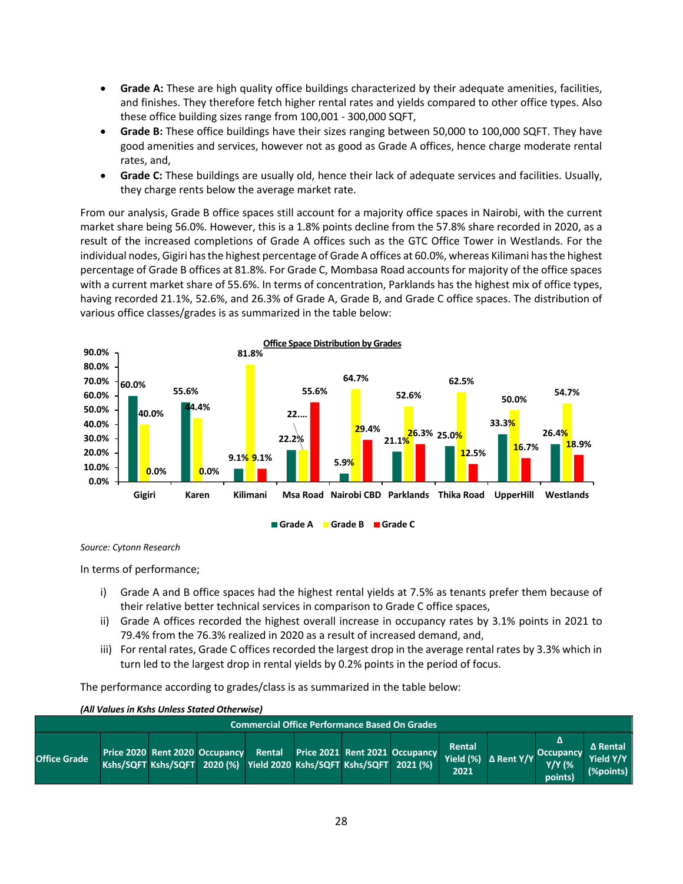- **Grade A:** These are high quality office buildings characterized by their adequate amenities, facilities, and finishes. They therefore fetch higher rental rates and yields compared to other office types. Also these office building sizes range from 100,001 - 300,000 SQFT,
- **Grade B:** These office buildings have their sizes ranging between 50,000 to 100,000 SQFT. They have good amenities and services, however not as good as Grade A offices, hence charge moderate rental rates, and,
- **Grade C:** These buildings are usually old, hence their lack of adequate services and facilities. Usually, they charge rents below the average market rate.

From our analysis, Grade B office spaces still account for a majority office spaces in Nairobi, with the current market share being 56.0%. However, this is a 1.8% points decline from the 57.8% share recorded in 2020, as a result of the increased completions of Grade A offices such as the GTC Office Tower in Westlands. For the individual nodes, Gigiri has the highest percentage of Grade A offices at 60.0%, whereas Kilimani has the highest percentage of Grade B offices at 81.8%. For Grade C, Mombasa Road accounts for majority of the office spaces with a current market share of 55.6%. In terms of concentration, Parklands has the highest mix of office types, having recorded 21.1%, 52.6%, and 26.3% of Grade A, Grade B, and Grade C office spaces. The distribution of various office classes/grades is as summarized in the table below:



#### *Source: Cytonn Research*

In terms of performance;

- i) Grade A and B office spaces had the highest rental yields at 7.5% as tenants prefer them because of their relative better technical services in comparison to Grade C office spaces,
- ii) Grade A offices recorded the highest overall increase in occupancy rates by 3.1% points in 2021 to 79.4% from the 76.3% realized in 2020 as a result of increased demand, and,
- iii) For rental rates, Grade C offices recorded the largest drop in the average rental rates by 3.3% which in turn led to the largest drop in rental yields by 0.2% points in the period of focus.

The performance according to grades/class is as summarized in the table below:

|                                                      | (All Values in Kshs Unless Stated Otherwise) |                                                                      |  |  |  |  |                                       |                             |                   |                                                   |                                           |  |
|------------------------------------------------------|----------------------------------------------|----------------------------------------------------------------------|--|--|--|--|---------------------------------------|-----------------------------|-------------------|---------------------------------------------------|-------------------------------------------|--|
| <b>Commercial Office Performance Based On Grades</b> |                                              |                                                                      |  |  |  |  |                                       |                             |                   |                                                   |                                           |  |
| <b>Office Grade</b>                                  | Price 2020 Rent 2020 Occupancy               | Kshs/SQFT Kshs/SQFT 2020 (%) Yield 2020 Kshs/SQFT Kshs/SQFT 2021 (%) |  |  |  |  | Rental Price 2021 Rent 2021 Occupancy | Rental<br>Yield (%)<br>2021 | $\Delta$ Rent Y/Y | Δ<br><b>Occupancy</b><br><b>Y/Y (%</b><br>points) | <b>A</b> Rental<br>Yield Y/Y<br>(%points) |  |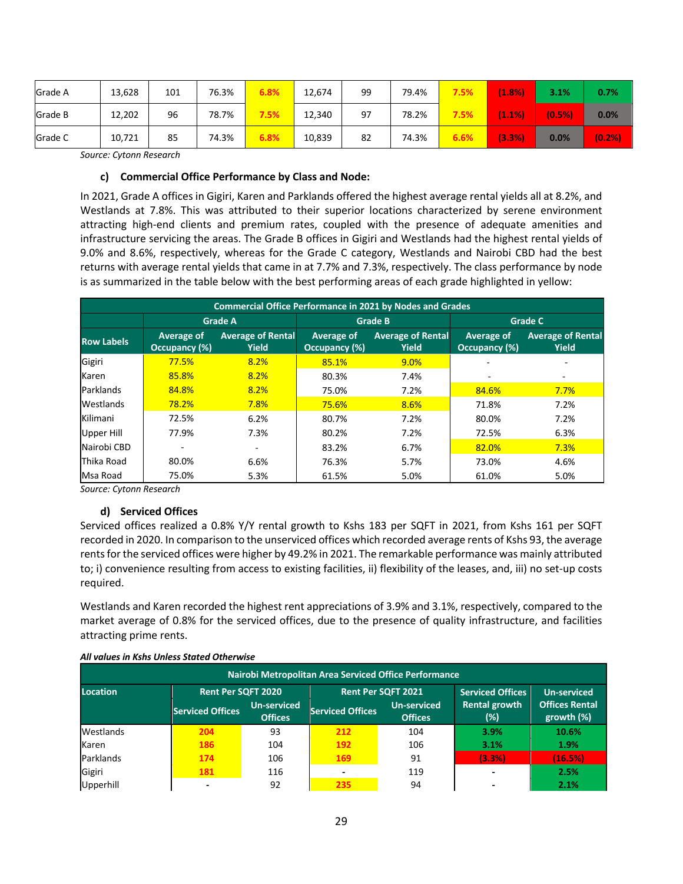| Grade A | 13,628 | 101 | 76.3% | 5.8%    | 12,674 | 99 | 79.4% | 7.5% | (1.8%  | 3.1%   | 0.7%  |
|---------|--------|-----|-------|---------|--------|----|-------|------|--------|--------|-------|
| Grade B | 12,202 | 96  | 78.7% | 7.5%    | 12,340 | 97 | 78.2% | 7.5% | (1.1%) | (0.5%) | 0.0%  |
| Grade C | 10,721 | 85  | 74.3% | $6.8\%$ | 10,839 | 82 | 74.3% | 6.6% | (3.3%) | 0.0%   | (0.2% |

*Source: Cytonn Research* 

## **c) Commercial Office Performance by Class and Node:**

In 2021, Grade A offices in Gigiri, Karen and Parklands offered the highest average rental yields all at 8.2%, and Westlands at 7.8%. This was attributed to their superior locations characterized by serene environment attracting high-end clients and premium rates, coupled with the presence of adequate amenities and infrastructure servicing the areas. The Grade B offices in Gigiri and Westlands had the highest rental yields of 9.0% and 8.6%, respectively, whereas for the Grade C category, Westlands and Nairobi CBD had the best returns with average rental yields that came in at 7.7% and 7.3%, respectively. The class performance by node is as summarized in the table below with the best performing areas of each grade highlighted in yellow:

|                   | <b>Commercial Office Performance in 2021 by Nodes and Grades</b>        |                |                             |                                          |                             |                                          |  |  |  |  |  |  |
|-------------------|-------------------------------------------------------------------------|----------------|-----------------------------|------------------------------------------|-----------------------------|------------------------------------------|--|--|--|--|--|--|
|                   |                                                                         | <b>Grade A</b> |                             | <b>Grade B</b>                           | <b>Grade C</b>              |                                          |  |  |  |  |  |  |
| <b>Row Labels</b> | <b>Average of Rental</b><br>Average of<br>Occupancy (%)<br><b>Yield</b> |                | Average of<br>Occupancy (%) | <b>Average of Rental</b><br><b>Yield</b> | Average of<br>Occupancy (%) | <b>Average of Rental</b><br><b>Yield</b> |  |  |  |  |  |  |
| Gigiri            | 77.5%                                                                   | 8.2%           | 85.1%                       | 9.0%                                     |                             |                                          |  |  |  |  |  |  |
| Karen             | 85.8%                                                                   | 8.2%           | 80.3%                       | 7.4%                                     | ٠                           | ۰                                        |  |  |  |  |  |  |
| Parklands         | 84.8%                                                                   | 8.2%           | 75.0%                       | 7.2%                                     | 84.6%                       | 7.7%                                     |  |  |  |  |  |  |
| Westlands         | 78.2%                                                                   | 7.8%           | 75.6%                       | 8.6%                                     | 71.8%                       | 7.2%                                     |  |  |  |  |  |  |
| Kilimani          | 72.5%                                                                   | 6.2%           | 80.7%                       | 7.2%                                     | 80.0%                       | 7.2%                                     |  |  |  |  |  |  |
| Upper Hill        | 77.9%                                                                   | 7.3%           | 80.2%                       | 7.2%                                     | 72.5%                       | 6.3%                                     |  |  |  |  |  |  |
| Nairobi CBD       |                                                                         |                | 83.2%                       | 6.7%                                     | 82.0%                       | 7.3%                                     |  |  |  |  |  |  |
| Thika Road        | 80.0%                                                                   | 6.6%           | 76.3%                       | 5.7%                                     | 73.0%                       | 4.6%                                     |  |  |  |  |  |  |
| Msa Road          | 75.0%                                                                   | 5.3%           | 61.5%                       | 5.0%                                     | 61.0%                       | 5.0%                                     |  |  |  |  |  |  |

*Source: Cytonn Research*

## **d) Serviced Offices**

Serviced offices realized a 0.8% Y/Y rental growth to Kshs 183 per SQFT in 2021, from Kshs 161 per SQFT recorded in 2020. In comparison to the unserviced offices which recorded average rents of Kshs 93, the average rents for the serviced offices were higher by 49.2% in 2021. The remarkable performance was mainly attributed to; i) convenience resulting from access to existing facilities, ii) flexibility of the leases, and, iii) no set-up costs required.

Westlands and Karen recorded the highest rent appreciations of 3.9% and 3.1%, respectively, compared to the market average of 0.8% for the serviced offices, due to the presence of quality infrastructure, and facilities attracting prime rents.

| All values in Kshs Unless Stated Otherwise |  |  |
|--------------------------------------------|--|--|
|                                            |  |  |

| Nairobi Metropolitan Area Serviced Office Performance |                           |                                      |                           |                                      |                             |                                     |
|-------------------------------------------------------|---------------------------|--------------------------------------|---------------------------|--------------------------------------|-----------------------------|-------------------------------------|
| <b>Location</b>                                       | <b>Rent Per SQFT 2020</b> |                                      | <b>Rent Per SQFT 2021</b> |                                      | <b>Serviced Offices</b>     | <b>Un-serviced</b>                  |
|                                                       | <b>Serviced Offices</b>   | <b>Un-serviced</b><br><b>Offices</b> | <b>Serviced Offices</b>   | <b>Un-serviced</b><br><b>Offices</b> | <b>Rental growth</b><br>(%) | <b>Offices Rental</b><br>growth (%) |
| Westlands                                             | 204                       | 93                                   | 212                       | 104                                  | 3.9%                        | 10.6%                               |
| Karen                                                 | 186                       | 104                                  | 192                       | 106                                  | 3.1%                        | 1.9%                                |
| Parklands                                             | 174                       | 106                                  | 169                       | 91                                   | (3.3%)                      | (16.5%)                             |
| Gigiri                                                | 181                       | 116                                  | $\overline{\phantom{0}}$  | 119                                  | $\blacksquare$              | 2.5%                                |
| Upperhill                                             |                           | 92                                   | 235                       | 94                                   | $\overline{\phantom{0}}$    | 2.1%                                |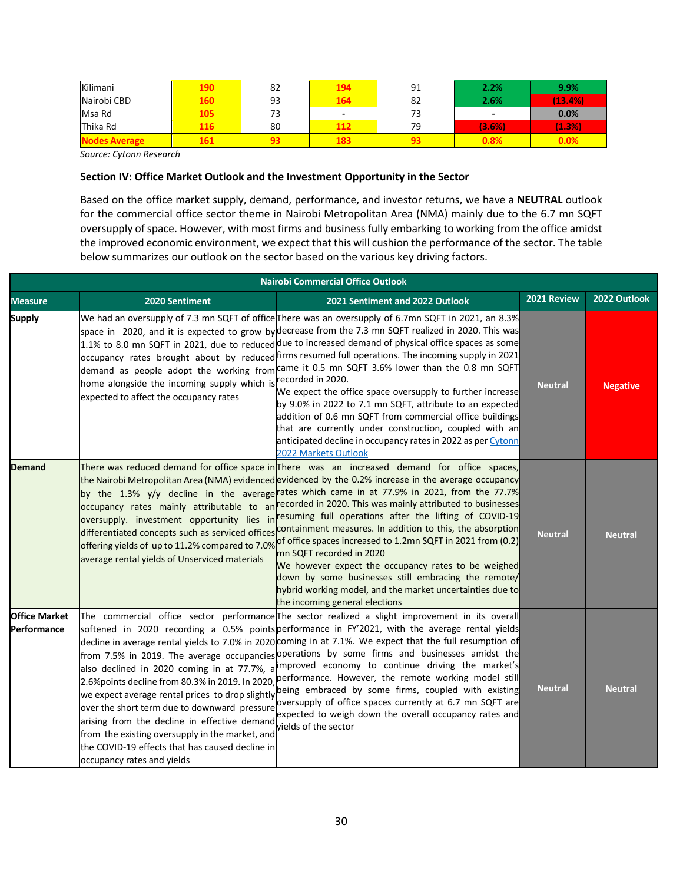| Kilimani    | 190 | 82 | 194 | 91 | 2.2%                     | 9.9%    |
|-------------|-----|----|-----|----|--------------------------|---------|
| Nairobi CBD | 160 | 93 | 164 | 82 | 2.6%                     | (13.4%) |
| Msa Rd      | 105 | 73 | -   | 73 | $\overline{\phantom{0}}$ | 0.0%    |
| Thika Rd    | 116 | 80 |     | 79 | (3.6%)                   | (1.3%)  |
|             |     |    |     |    | 1.8%                     | $0.0\%$ |

*Source: Cytonn Research*

#### **Section IV: Office Market Outlook and the Investment Opportunity in the Sector**

Based on the office market supply, demand, performance, and investor returns, we have a **NEUTRAL** outlook for the commercial office sector theme in Nairobi Metropolitan Area (NMA) mainly due to the 6.7 mn SQFT oversupply of space. However, with most firms and business fully embarking to working from the office amidst the improved economic environment, we expect that this will cushion the performance of the sector. The table below summarizes our outlook on the sector based on the various key driving factors.

| <b>Nairobi Commercial Office Outlook</b> |                                                                                                                                                                                                                                                                                 |                                                                                                                                                                                                                                                                                                                                                                                                                                                                                                                                                                                                                                                                                                                                                                                                                                                                                         |                |                 |  |  |  |
|------------------------------------------|---------------------------------------------------------------------------------------------------------------------------------------------------------------------------------------------------------------------------------------------------------------------------------|-----------------------------------------------------------------------------------------------------------------------------------------------------------------------------------------------------------------------------------------------------------------------------------------------------------------------------------------------------------------------------------------------------------------------------------------------------------------------------------------------------------------------------------------------------------------------------------------------------------------------------------------------------------------------------------------------------------------------------------------------------------------------------------------------------------------------------------------------------------------------------------------|----------------|-----------------|--|--|--|
| <b>Measure</b>                           | 2020 Sentiment                                                                                                                                                                                                                                                                  | 2021 Sentiment and 2022 Outlook                                                                                                                                                                                                                                                                                                                                                                                                                                                                                                                                                                                                                                                                                                                                                                                                                                                         | 2021 Review    | 2022 Outlook    |  |  |  |
| <b>Supply</b>                            | home alongside the incoming supply which is<br>expected to affect the occupancy rates                                                                                                                                                                                           | We had an oversupply of 7.3 mn SQFT of office There was an oversupply of 6.7mn SQFT in 2021, an 8.3%<br>space in 2020, and it is expected to grow bydecrease from the 7.3 mn SQFT realized in 2020. This was<br>1.1% to 8.0 mn SQFT in 2021, due to reduced due to increased demand of physical office spaces as some<br>occupancy rates brought about by reduced firms resumed full operations. The incoming supply in 2021<br>demand as people adopt the working from came it 0.5 mn SQFT 3.6% lower than the 0.8 mn SQFT<br>recorded in 2020.<br>We expect the office space oversupply to further increase<br>by 9.0% in 2022 to 7.1 mn SQFT, attribute to an expected<br>addition of 0.6 mn SQFT from commercial office buildings<br>that are currently under construction, coupled with an<br>anticipated decline in occupancy rates in 2022 as per Cytonn<br>2022 Markets Outlook | <b>Neutral</b> | <b>Negative</b> |  |  |  |
| <b>Demand</b>                            | occupancy rates mainly attributable to an<br>differentiated concepts such as serviced offices<br>offering yields of up to 11.2% compared to 7.0%<br>average rental yields of Unserviced materials                                                                               | There was reduced demand for office space in There was an increased demand for office spaces,<br>the Nairobi Metropolitan Area (NMA) evidenced evidenced by the 0.2% increase in the average occupancy<br>by the 1.3% y/y decline in the average rates which came in at 77.9% in 2021, from the 77.7%<br>recorded in 2020. This was mainly attributed to businesses<br>oversupply. investment opportunity lies in resuming full operations after the lifting of COVID-19<br>containment measures. In addition to this, the absorption<br>of office spaces increased to 1.2mn SQFT in 2021 from (0.2)<br>mn SQFT recorded in 2020<br>We however expect the occupancy rates to be weighed<br>down by some businesses still embracing the remote/<br>hybrid working model, and the market uncertainties due to<br>the incoming general elections                                           | <b>Neutral</b> | <b>Neutral</b>  |  |  |  |
| <b>Office Market</b><br>Performance      | also declined in 2020 coming in at 77.7%, a<br>over the short term due to downward pressure<br>arising from the decline in effective demand<br>from the existing oversupply in the market, and<br>the COVID-19 effects that has caused decline in<br>occupancy rates and yields | The commercial office sector performance The sector realized a slight improvement in its overall<br>softened in 2020 recording a 0.5% points performance in FY'2021, with the average rental yields<br>decline in average rental yields to 7.0% in 2020 coming in at 7.1%. We expect that the full resumption of<br>from 7.5% in 2019. The average occupancies operations by some firms and businesses amidst the<br>improved economy to continue driving the market's<br>2.6%points decline from 80.3% in 2019. In 2020, performance. However, the remote working model still<br>we expect average rental prices to drop slightly being embraced by some firms, coupled with existing<br>oversupply of office spaces currently at 6.7 mn SQFT are<br>expected to weigh down the overall occupancy rates and<br>vields of the sector                                                    | <b>Neutral</b> | <b>Neutral</b>  |  |  |  |